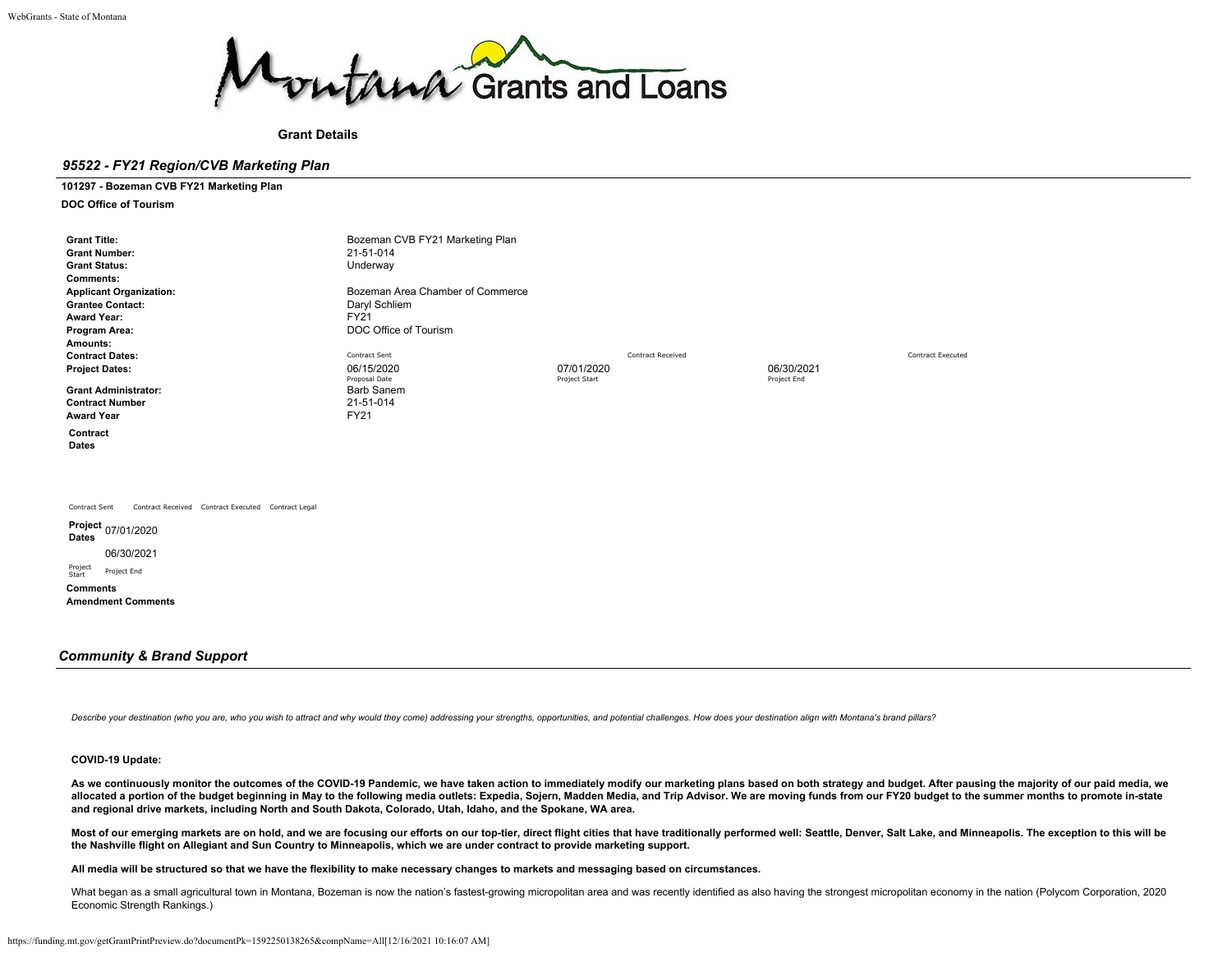

## **Grant Details**

# *95522 - FY21 Region/CVB Marketing Plan*

**101297 - Bozeman CVB FY21 Marketing Plan**

**DOC Office of Tourism**

| <b>Grant Title:</b><br><b>Grant Number:</b><br><b>Grant Status:</b><br><b>Comments:</b><br><b>Applicant Organization:</b><br><b>Grantee Contact:</b><br><b>Award Year:</b><br>Program Area:<br>Amounts:<br><b>Contract Dates:</b><br><b>Project Dates:</b><br><b>Grant Administrator:</b><br><b>Contract Number</b><br><b>Award Year</b><br>Contract<br>Dates | Bozeman CVB FY21 Marketing Plan<br>21-51-014<br>Underway<br>Bozeman Area Chamber of Commerce<br>Daryl Schliem<br><b>FY21</b><br>DOC Office of Tourism<br>Contract Sent<br>06/15/2020<br>Proposal Date<br><b>Barb Sanem</b><br>21-51-014<br><b>FY21</b> | 07/01/2020<br>Project Start | <b>Contract Received</b> | 06/30/2021<br>Project End | <b>Contract Executed</b> |
|---------------------------------------------------------------------------------------------------------------------------------------------------------------------------------------------------------------------------------------------------------------------------------------------------------------------------------------------------------------|--------------------------------------------------------------------------------------------------------------------------------------------------------------------------------------------------------------------------------------------------------|-----------------------------|--------------------------|---------------------------|--------------------------|
| Contract Received Contract Executed Contract Legal<br>Contract Sent<br>Project 07/01/2020<br>Dates<br>06/30/2021<br>Project<br>Project End<br>Start<br><b>Comments</b><br><b>Amendment Comments</b>                                                                                                                                                           |                                                                                                                                                                                                                                                        |                             |                          |                           |                          |

## *Community & Brand Support*

Describe your destination (who you are, who you wish to attract and why would they come) addressing your strengths, opportunities, and potential challenges. How does your destination align with Montana's brand pillars?

## **COVID-19 Update:**

**As we continuously monitor the outcomes of the COVID-19 Pandemic, we have taken action to immediately modify our marketing plans based on both strategy and budget. After pausing the majority of our paid media, we allocated a portion of the budget beginning in May to the following media outlets: Expedia, Sojern, Madden Media, and Trip Advisor. We are moving funds from our FY20 budget to the summer months to promote in-state and regional drive markets, including North and South Dakota, Colorado, Utah, Idaho, and the Spokane, WA area.**

Most of our emerging markets are on hold, and we are focusing our efforts on our top-tier, direct flight cities that have traditionally performed well: Seattle, Denver, Salt Lake, and Minneapolis. The exception to this wil **the Nashville flight on Allegiant and Sun Country to Minneapolis, which we are under contract to provide marketing support.**

**All media will be structured so that we have the flexibility to make necessary changes to markets and messaging based on circumstances.**

What began as a small agricultural town in Montana, Bozeman is now the nation's fastest-growing micropolitan area and was recently identified as also having the strongest micropolitan economy in the nation (Polycom Corpora Economic Strength Rankings.)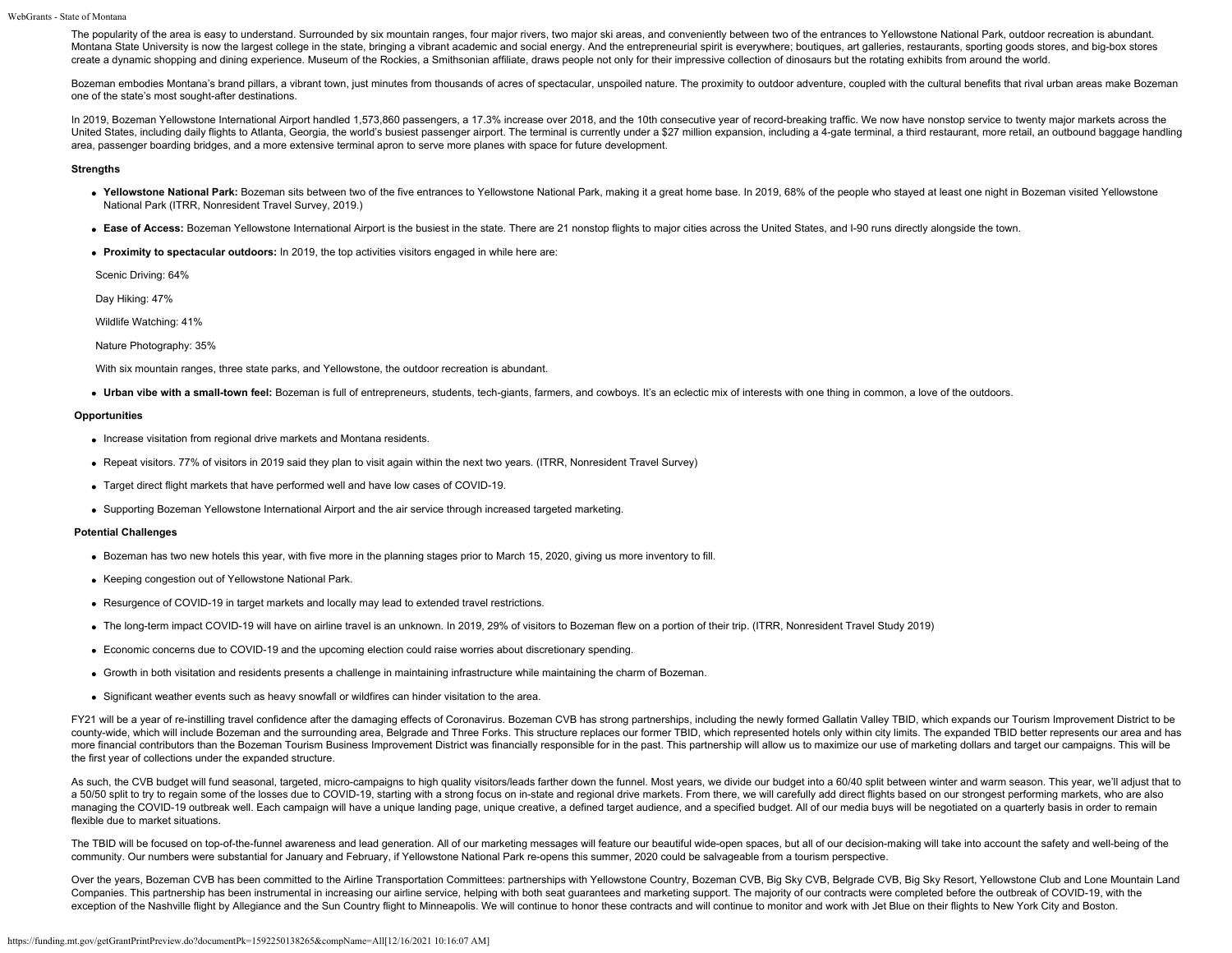The popularity of the area is easy to understand. Surrounded by six mountain ranges, four major rivers, two major ski areas, and conveniently between two of the entrances to Yellowstone National Park, outdoor recreation is Montana State University is now the largest college in the state, bringing a vibrant academic and social energy. And the entrepreneurial spirit is everywhere; boutiques, art galleries, restaurants, sporting goods stores, a create a dynamic shopping and dining experience. Museum of the Rockies, a Smithsonian affiliate, draws people not only for their impressive collection of dinosaurs but the rotating exhibits from around the world.

Bozeman embodies Montana's brand pillars, a vibrant town, just minutes from thousands of acres of spectacular, unspoiled nature. The proximity to outdoor adventure, coupled with the cultural benefits that rival urban areas one of the state's most sought-after destinations.

In 2019, Bozeman Yellowstone International Airport handled 1,573,860 passengers, a 17.3% increase over 2018, and the 10th consecutive year of record-breaking traffic. We now have nonstop service to twenty major markets acr United States, including daily flights to Atlanta, Georgia, the world's busiest passenger airport. The terminal is currently under a \$27 million expansion, including a 4-gate terminal, a third restaurant, more retail, an o area, passenger boarding bridges, and a more extensive terminal apron to serve more planes with space for future development.

#### **Strengths**

- . Yellowstone National Park: Bozeman sits between two of the five entrances to Yellowstone National Park, making it a great home base. In 2019, 68% of the people who stayed at least one night in Bozeman visited Yellowstone National Park (ITRR, Nonresident Travel Survey, 2019.)
- **Ease of Access:** Bozeman Yellowstone International Airport is the busiest in the state. There are 21 nonstop flights to major cities across the United States, and I-90 runs directly alongside the town.
- **Proximity to spectacular outdoors:** In 2019, the top activities visitors engaged in while here are:

Scenic Driving: 64%

Day Hiking: 47%

Wildlife Watching: 41%

Nature Photography: 35%

With six mountain ranges, three state parks, and Yellowstone, the outdoor recreation is abundant.

**Urban vibe with a small-town feel:** Bozeman is full of entrepreneurs, students, tech-giants, farmers, and cowboys. It's an eclectic mix of interests with one thing in common, a love of the outdoors.

#### **Opportunities**

- Increase visitation from regional drive markets and Montana residents.
- Repeat visitors. 77% of visitors in 2019 said they plan to visit again within the next two years. (ITRR, Nonresident Travel Survey)
- Target direct flight markets that have performed well and have low cases of COVID-19.
- Supporting Bozeman Yellowstone International Airport and the air service through increased targeted marketing.

## **Potential Challenges**

- Bozeman has two new hotels this year, with five more in the planning stages prior to March 15, 2020, giving us more inventory to fill.
- Keeping congestion out of Yellowstone National Park.
- Resurgence of COVID-19 in target markets and locally may lead to extended travel restrictions.
- The long-term impact COVID-19 will have on airline travel is an unknown. In 2019, 29% of visitors to Bozeman flew on a portion of their trip. (ITRR, Nonresident Travel Study 2019)
- Economic concerns due to COVID-19 and the upcoming election could raise worries about discretionary spending.
- Growth in both visitation and residents presents a challenge in maintaining infrastructure while maintaining the charm of Bozeman.
- Significant weather events such as heavy snowfall or wildfires can hinder visitation to the area.

FY21 will be a year of re-instilling travel confidence after the damaging effects of Coronavirus. Bozeman CVB has strong partnerships, including the newly formed Gallatin Valley TBID, which expands our Tourism Improvement county-wide, which will include Bozeman and the surrounding area, Belgrade and Three Forks. This structure replaces our former TBID, which represented hotels only within city limits. The expanded TBID better represents our more financial contributors than the Bozeman Tourism Business Improvement District was financially responsible for in the past. This partnership will allow us to maximize our use of marketing dollars and target our campaig the first year of collections under the expanded structure.

As such, the CVB budget will fund seasonal, targeted, micro-campaigns to high quality visitors/leads farther down the funnel. Most years, we divide our budget into a 60/40 split between winter and warm season. This year, w a 50/50 split to try to regain some of the losses due to COVID-19, starting with a strong focus on in-state and regional drive markets. From there, we will carefully add direct flights based on our strongest performing mar managing the COVID-19 outbreak well. Each campaign will have a unique landing page, unique creative, a defined target audience, and a specified budget. All of our media buys will be negotiated on a quarterly basis in order flexible due to market situations.

The TBID will be focused on top-of-the-funnel awareness and lead generation. All of our marketing messages will feature our beautiful wide-open spaces, but all of our decision-making will take into account the safety and w community. Our numbers were substantial for January and February, if Yellowstone National Park re-opens this summer, 2020 could be salvageable from a tourism perspective.

Over the years, Bozeman CVB has been committed to the Airline Transportation Committees: partnerships with Yellowstone Country, Bozeman CVB, Big Sky CVB, Belgrade CVB, Big Sky Resort, Yellowstone Club and Lone Mountain Lan Companies. This partnership has been instrumental in increasing our airline service, helping with both seat guarantees and marketing support. The majority of our contracts were completed before the outbreak of COVID-19, wi exception of the Nashville flight by Allegiance and the Sun Country flight to Minneapolis. We will continue to honor these contracts and will continue to monitor and work with Jet Blue on their flights to New York City and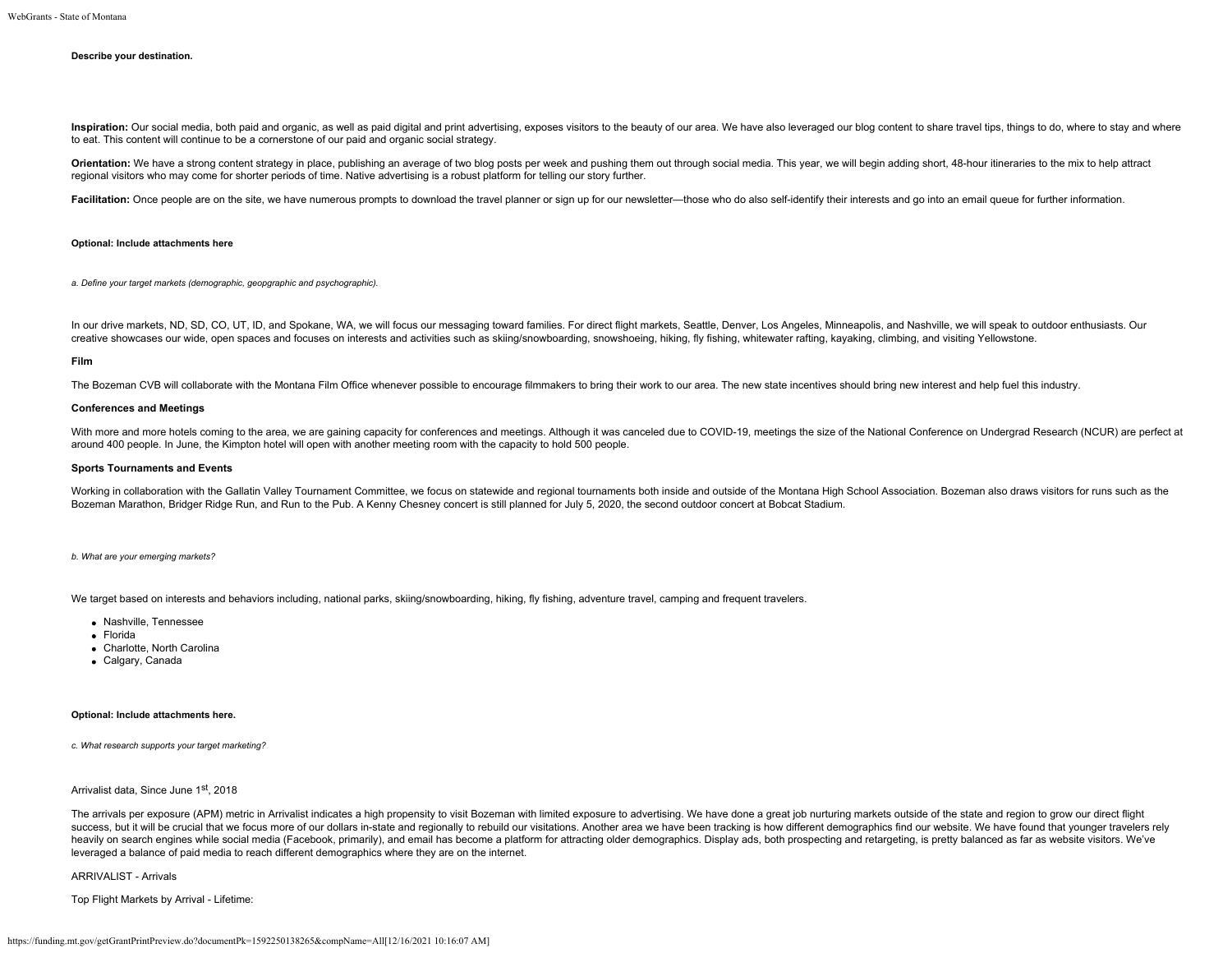#### **Describe your destination.**

Inspiration: Our social media, both paid and organic, as well as paid digital and print advertising, exposes visitors to the beauty of our area. We have also leveraged our blog content to share travel tips, things to do, w to eat. This content will continue to be a cornerstone of our paid and organic social strategy.

Orientation: We have a strong content strategy in place, publishing an average of two blog posts per week and pushing them out through social media. This year, we will begin adding short, 48-hour itineraries to the mix to regional visitors who may come for shorter periods of time. Native advertising is a robust platform for telling our story further.

Facilitation: Once people are on the site, we have numerous prompts to download the travel planner or sign up for our newsletter-those who do also self-identify their interests and go into an email queue for further inform

#### **Optional: Include attachments here**

*a. Define your target markets (demographic, geopgraphic and psychographic).*

In our drive markets, ND, SD, CO, UT, ID, and Spokane, WA, we will focus our messaging toward families. For direct flight markets, Seattle, Denver, Los Angeles, Minneapolis, and Nashville, we will speak to outdoor enthusia creative showcases our wide, open spaces and focuses on interests and activities such as skiing/snowboarding, snowshoeing, hiking, fly fishing, whitewater rafting, kayaking, climbing, and visiting Yellowstone.

#### **Film**

The Bozeman CVB will collaborate with the Montana Film Office whenever possible to encourage filmmakers to bring their work to our area. The new state incentives should bring new interest and help fuel this industry.

#### **Conferences and Meetings**

With more and more hotels coming to the area, we are gaining capacity for conferences and meetings. Although it was canceled due to COVID-19, meetings the size of the National Conference on Undergrad Research (NCUR) are pe around 400 people. In June, the Kimpton hotel will open with another meeting room with the capacity to hold 500 people.

## **Sports Tournaments and Events**

Working in collaboration with the Gallatin Valley Tournament Committee, we focus on statewide and regional tournaments both inside and outside of the Montana High School Association. Bozeman also draws visitors for runs su Bozeman Marathon, Bridger Ridge Run, and Run to the Pub. A Kenny Chesney concert is still planned for July 5, 2020, the second outdoor concert at Bobcat Stadium.

*b. What are your emerging markets?*

We target based on interests and behaviors including, national parks, skiing/snowboarding, hiking, fly fishing, adventure travel, camping and frequent travelers.

- Nashville, Tennessee
- Florida
- Charlotte, North Carolina
- Calgary, Canada

## **Optional: Include attachments here.**

*c. What research supports your target marketing?*

## Arrivalist data, Since June 1st, 2018

The arrivals per exposure (APM) metric in Arrivalist indicates a high propensity to visit Bozeman with limited exposure to advertising. We have done a great job nurturing markets outside of the state and region to grow our success, but it will be crucial that we focus more of our dollars in-state and regionally to rebuild our visitations. Another area we have been tracking is how different demographics find our website. We have found that yo heavily on search engines while social media (Facebook, primarily), and email has become a platform for attracting older demographics. Display ads, both prospecting and retargeting, is pretty balanced as far as website vis leveraged a balance of paid media to reach different demographics where they are on the internet.

ARRIVALIST - Arrivals

Top Flight Markets by Arrival - Lifetime: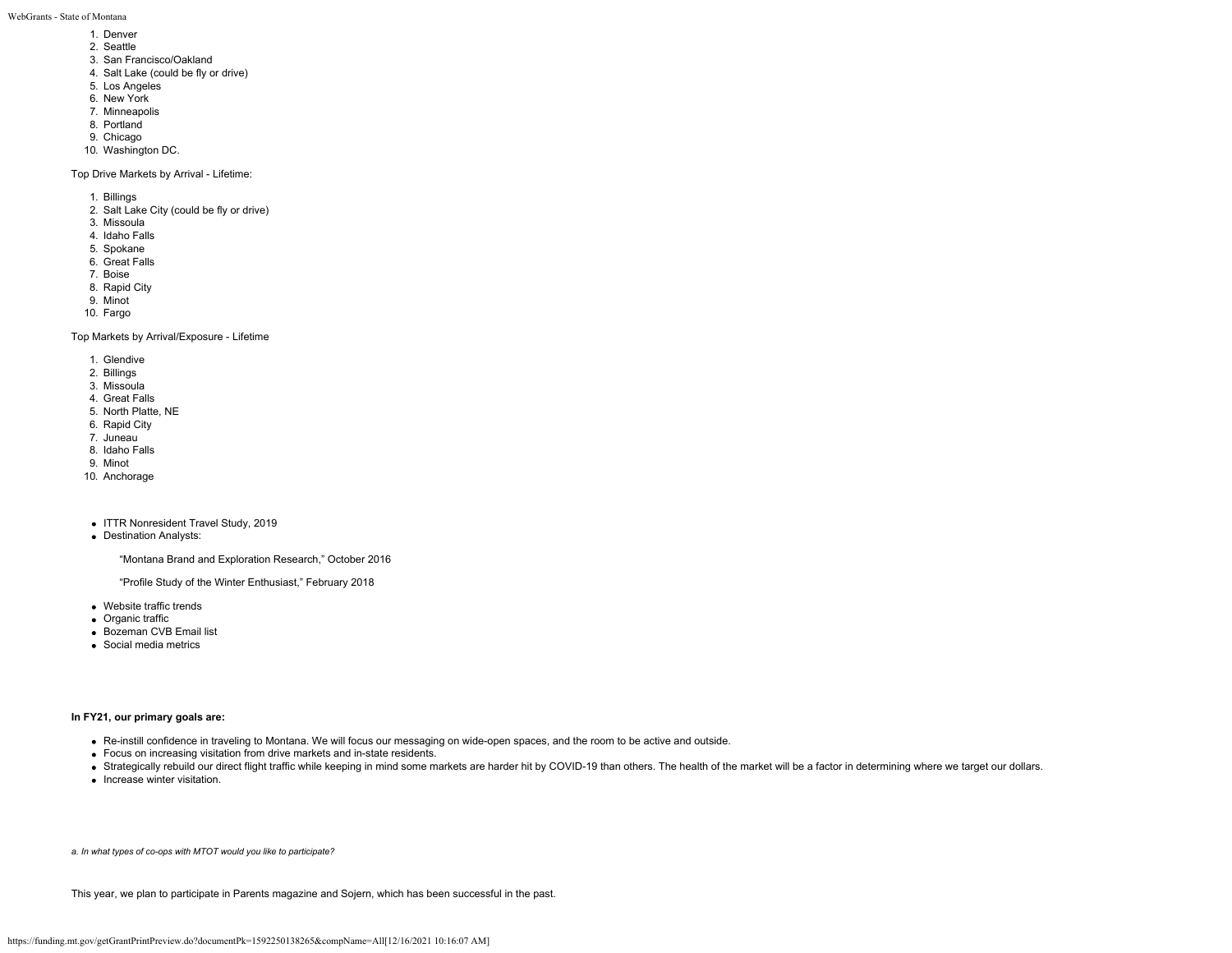WebGrants - State of Montana

- 1. Denver
- 2. Seattle
- 3. San Francisco/Oakland
- 4. Salt Lake (could be fly or drive)
- 5. Los Angeles
- 6. New York
- 7. Minneapolis
- 8. Portland
- 9. Chicago
- 10. Washington DC.

Top Drive Markets by Arrival - Lifetime:

- 1. Billings
- 2. Salt Lake City (could be fly or drive)
- 3. Missoula
- 4. Idaho Falls
- 5. Spokane
- 6. Great Falls
- 7. Boise
- 8. Rapid City
- 9. Minot
- 10. Fargo

Top Markets by Arrival/Exposure - Lifetime

- 1. Glendive
- 2. Billings
- 3. Missoula
- 4. Great Falls
- 5. North Platte, NE
- 6. Rapid City
- 7. Juneau
- 8. Idaho Falls
- 9. Minot
- 10. Anchorage
- ITTR Nonresident Travel Study, 2019
- Destination Analysts:

"Montana Brand and Exploration Research," October 2016

"Profile Study of the Winter Enthusiast," February 2018

- Website traffic trends
- Organic traffic
- Bozeman CVB Email list
- Social media metrics

## **In FY21, our primary goals are:**

- Re-instill confidence in traveling to Montana. We will focus our messaging on wide-open spaces, and the room to be active and outside.
- Focus on increasing visitation from drive markets and in-state residents.
- Strategically rebuild our direct flight traffic while keeping in mind some markets are harder hit by COVID-19 than others. The health of the market will be a factor in determining where we target our dollars.
- Increase winter visitation.

*a. In what types of co-ops with MTOT would you like to participate?*

This year, we plan to participate in Parents magazine and Sojern, which has been successful in the past.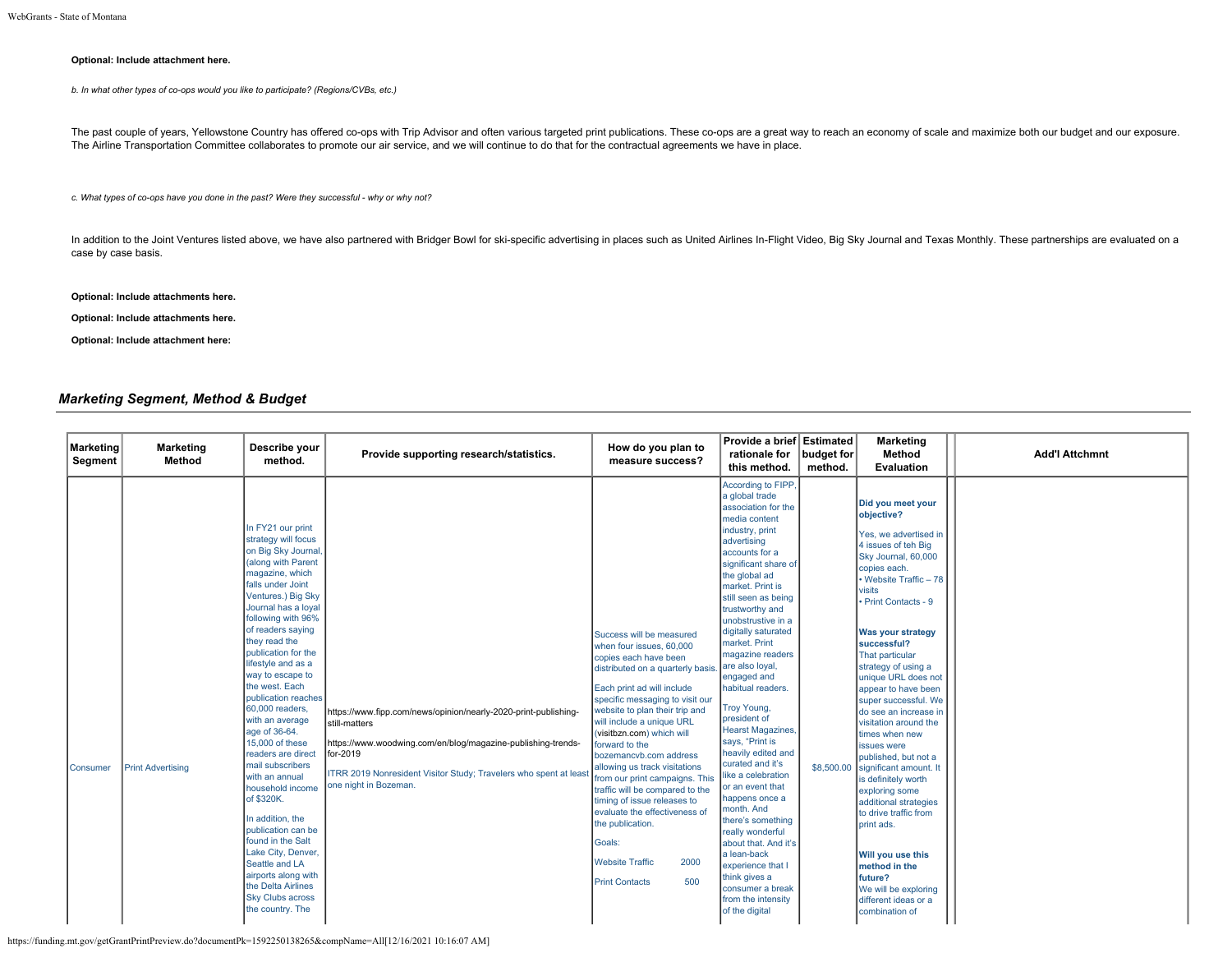## **Optional: Include attachment here.**

*b. In what other types of co-ops would you like to participate? (Regions/CVBs, etc.)*

The past couple of years, Yellowstone Country has offered co-ops with Trip Advisor and often various targeted print publications. These co-ops are a great way to reach an economy of scale and maximize both our budget and o The Airline Transportation Committee collaborates to promote our air service, and we will continue to do that for the contractual agreements we have in place.

*c. What types of co-ops have you done in the past? Were they successful - why or why not?*

In addition to the Joint Ventures listed above, we have also partnered with Bridger Bowl for ski-specific advertising in places such as United Airlines In-Flight Video, Big Sky Journal and Texas Monthly. These partnerships case by case basis.

## **Optional: Include attachments here.**

**Optional: Include attachments here.**

**Optional: Include attachment here:**

# *Marketing Segment, Method & Budget*

| Marketing<br>Segment | <b>Marketing</b><br>Method | Describe your<br>method.                                                                                                                                                                                                                                                                                                                                                                                                                                                                                                                                                                                                                                                                                                           | Provide supporting research/statistics.                                                                                                                                                                                                                    | How do you plan to<br>measure success?                                                                                                                                                                                                                                                                                                                                                                                                                                                                                                                                                            | Provide a brief Estimated<br>rationale for<br>this method.                                                                                                                                                                                                                                                                                                                                                                                                                                                                                                                                                                                                                                                                                                           | budget for<br>method. | <b>Marketing</b><br>Method<br><b>Evaluation</b>                                                                                                                                                                                                                                                                                                                                                                                                                                                                                                                                                                                                                                                                | <b>Add'l Attchmnt</b> |
|----------------------|----------------------------|------------------------------------------------------------------------------------------------------------------------------------------------------------------------------------------------------------------------------------------------------------------------------------------------------------------------------------------------------------------------------------------------------------------------------------------------------------------------------------------------------------------------------------------------------------------------------------------------------------------------------------------------------------------------------------------------------------------------------------|------------------------------------------------------------------------------------------------------------------------------------------------------------------------------------------------------------------------------------------------------------|---------------------------------------------------------------------------------------------------------------------------------------------------------------------------------------------------------------------------------------------------------------------------------------------------------------------------------------------------------------------------------------------------------------------------------------------------------------------------------------------------------------------------------------------------------------------------------------------------|----------------------------------------------------------------------------------------------------------------------------------------------------------------------------------------------------------------------------------------------------------------------------------------------------------------------------------------------------------------------------------------------------------------------------------------------------------------------------------------------------------------------------------------------------------------------------------------------------------------------------------------------------------------------------------------------------------------------------------------------------------------------|-----------------------|----------------------------------------------------------------------------------------------------------------------------------------------------------------------------------------------------------------------------------------------------------------------------------------------------------------------------------------------------------------------------------------------------------------------------------------------------------------------------------------------------------------------------------------------------------------------------------------------------------------------------------------------------------------------------------------------------------------|-----------------------|
| lConsumer            | <b>Print Advertising</b>   | In FY21 our print<br>strategy will focus<br>on Big Sky Journal,<br>(along with Parent<br>magazine, which<br>falls under Joint<br>Ventures.) Big Sky<br>Journal has a loyal<br>following with 96%<br>of readers saying<br>they read the<br>publication for the<br>lifestyle and as a<br>way to escape to<br>the west. Each<br>publication reaches<br>60,000 readers,<br>with an average<br>age of 36-64.<br>15,000 of these<br>readers are direct<br>mail subscribers<br>with an annual<br>household income<br>of \$320K.<br>In addition, the<br><b>publication</b> can be<br>found in the Salt<br>Lake City, Denver.<br>Seattle and LA<br>airports along with<br>the Delta Airlines<br><b>Sky Clubs across</b><br>the country. The | https://www.fipp.com/news/opinion/nearly-2020-print-publishing-<br>still-matters<br>https://www.woodwing.com/en/blog/magazine-publishing-trends-<br>for-2019<br>ITRR 2019 Nonresident Visitor Study; Travelers who spent at least<br>one night in Bozeman. | Success will be measured<br>when four issues, 60,000<br>copies each have been<br>distributed on a quarterly basis.<br>Each print ad will include<br>specific messaging to visit our<br>website to plan their trip and<br>will include a unique URL<br>(visitbzn.com) which will<br>forward to the<br>bozemancyb.com address<br>allowing us track visitations<br>from our print campaigns. This<br>traffic will be compared to the<br>timing of issue releases to<br>evaluate the effectiveness of<br>the publication.<br>Goals:<br>2000<br><b>Website Traffic</b><br>500<br><b>Print Contacts</b> | According to FIPP,<br>a global trade<br>association for the<br>media content<br>industry, print<br>advertising<br>accounts for a<br>significant share of<br>the global ad<br>market. Print is<br>still seen as being<br>trustworthy and<br>unobstrustive in a<br>digitally saturated<br>market. Print<br>magazine readers<br>are also loyal,<br>engaged and<br>habitual readers.<br>Troy Young,<br>president of<br><b>Hearst Magazines,</b><br>says, "Print is<br>heavily edited and<br>curated and it's<br>like a celebration<br>or an event that<br>happens once a<br>month. And<br>there's something<br>really wonderful<br>about that. And it's<br>a lean-back<br>experience that I<br>think gives a<br>consumer a break<br>from the intensity<br>of the digital | \$8,500.00            | Did you meet your<br>objective?<br>Yes, we advertised in<br>4 issues of teh Big<br>Sky Journal, 60,000<br>copies each.<br>• Website Traffic - 78<br>visits<br>· Print Contacts - 9<br><b>Was your strategy</b><br>successful?<br>That particular<br>strategy of using a<br>unique URL does not<br>appear to have been<br>super successful. We<br>do see an increase in<br>visitation around the<br>times when new<br>issues were<br>published, but not a<br>significant amount. It<br>is definitely worth<br>exploring some<br>additional strategies<br>to drive traffic from<br>print ads.<br>Will you use this<br>method in the<br>future?<br>We will be exploring<br>different ideas or a<br>combination of |                       |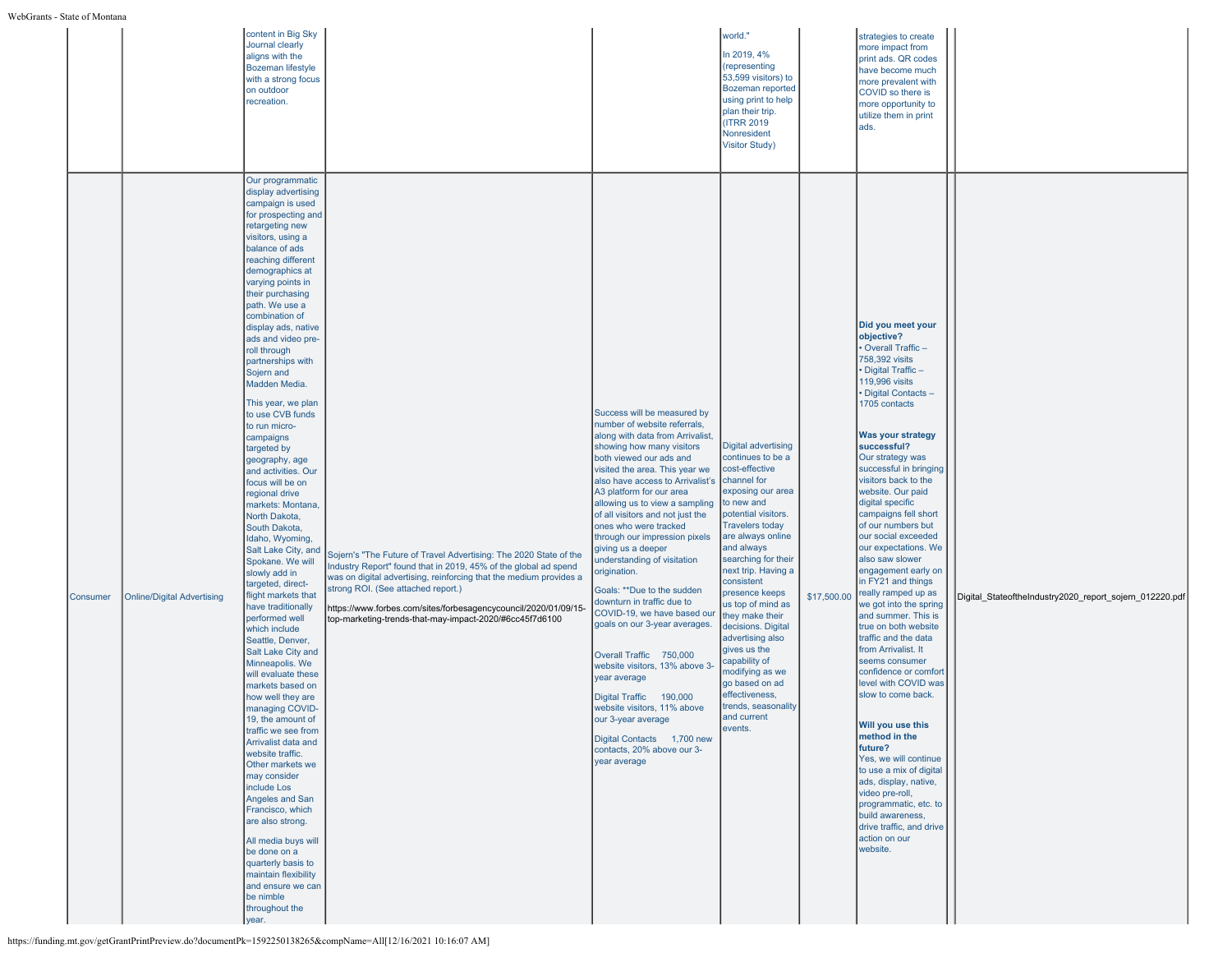|                 |                                   | content in Big Sky<br>Journal clearly<br>aligns with the<br><b>Bozeman lifestyle</b><br>with a strong focus<br>on outdoor<br>recreation.                                                                                                                                                                                                                                                                                                                                                                                                                                                                                                                                                                                                                                                                                                                                                                                                                                                                                                                                                                                                                                                                                                                                                                                                                                                                                                                                                                                                                                                                                                                                                      | world."<br>In 2019, 4%<br>(representing<br>plan their trip.<br>(ITRR 2019)<br>Nonresident<br><b>Visitor Study)</b>                                                                                                                                                                                                                                                                                                                                                                                                                                                                                                                                                                                                                                                                                                                                                                                                                                                                                             | 53,599 visitors) to<br><b>Bozeman reported</b><br>using print to help                                                                                                                                                                                                                                                                                 | strategies to create<br>more impact from<br>print ads. QR codes<br>have become much<br>more prevalent with<br>COVID so there is<br>more opportunity to<br>utilize them in print<br>ads.                                                                                                                                                                                                                                                                                                                                                                                                                                                                                                                                                                                                                                                                                                                                                                                  |                                                         |
|-----------------|-----------------------------------|-----------------------------------------------------------------------------------------------------------------------------------------------------------------------------------------------------------------------------------------------------------------------------------------------------------------------------------------------------------------------------------------------------------------------------------------------------------------------------------------------------------------------------------------------------------------------------------------------------------------------------------------------------------------------------------------------------------------------------------------------------------------------------------------------------------------------------------------------------------------------------------------------------------------------------------------------------------------------------------------------------------------------------------------------------------------------------------------------------------------------------------------------------------------------------------------------------------------------------------------------------------------------------------------------------------------------------------------------------------------------------------------------------------------------------------------------------------------------------------------------------------------------------------------------------------------------------------------------------------------------------------------------------------------------------------------------|----------------------------------------------------------------------------------------------------------------------------------------------------------------------------------------------------------------------------------------------------------------------------------------------------------------------------------------------------------------------------------------------------------------------------------------------------------------------------------------------------------------------------------------------------------------------------------------------------------------------------------------------------------------------------------------------------------------------------------------------------------------------------------------------------------------------------------------------------------------------------------------------------------------------------------------------------------------------------------------------------------------|-------------------------------------------------------------------------------------------------------------------------------------------------------------------------------------------------------------------------------------------------------------------------------------------------------------------------------------------------------|--------------------------------------------------------------------------------------------------------------------------------------------------------------------------------------------------------------------------------------------------------------------------------------------------------------------------------------------------------------------------------------------------------------------------------------------------------------------------------------------------------------------------------------------------------------------------------------------------------------------------------------------------------------------------------------------------------------------------------------------------------------------------------------------------------------------------------------------------------------------------------------------------------------------------------------------------------------------------|---------------------------------------------------------|
| <b>Consumer</b> | <b>Online/Digital Advertising</b> | Our programmatic<br>display advertising<br>campaign is used<br>for prospecting and<br>retargeting new<br>visitors, using a<br>balance of ads<br>reaching different<br>demographics at<br>varying points in<br>their purchasing<br>path. We use a<br>combination of<br>display ads, native<br>ads and video pre-<br>roll through<br>partnerships with<br>Sojern and<br>Madden Media.<br>This year, we plan<br>to use CVB funds<br>to run micro-<br>campaigns<br>targeted by<br>geography, age<br>and activities. Our<br>focus will be on<br>regional drive<br>markets: Montana,<br>North Dakota,<br>South Dakota,<br>Idaho, Wyoming,<br>Salt Lake City, and<br>Sojern's "The Future of Travel Advertising: The 2020 State of the<br>Spokane. We will<br>Industry Report" found that in 2019, 45% of the global ad spend<br>slowly add in<br>was on digital advertising, reinforcing that the medium provides a<br>targeted, direct-<br>strong ROI. (See attached report.)<br>flight markets that<br>have traditionally<br>https://www.forbes.com/sites/forbesagencycouncil/2020/01/09/15-<br>performed well<br>top-marketing-trends-that-may-impact-2020/#6cc45f7d6100<br>which include<br>Seattle, Denver,<br>Salt Lake City and<br>Minneapolis. We<br>will evaluate these<br>markets based on<br>how well they are<br>managing COVID-<br>19, the amount of<br>traffic we see from<br>Arrivalist data and<br>website traffic.<br>Other markets we<br>may consider<br>include Los<br>Angeles and San<br>Francisco, which<br>are also strong.<br>All media buys will<br>be done on a<br>quarterly basis to<br>maintain flexibility<br>and ensure we can<br>be nimble<br>throughout the<br>year. | Success will be measured by<br>number of website referrals,<br>along with data from Arrivalist,<br>showing how many visitors<br>both viewed our ads and<br>cost-effective<br>visited the area. This year we<br>channel for<br>also have access to Arrivalist's<br>A3 platform for our area<br>allowing us to view a sampling<br>to new and<br>of all visitors and not just the<br>ones who were tracked<br>through our impression pixels<br>and always<br>giving us a deeper<br>understanding of visitation<br>origination.<br>consistent<br>Goals: ** Due to the sudden<br>downturn in traffic due to<br>COVID-19, we have based our<br>goals on our 3-year averages.<br>gives us the<br>Overall Traffic 750,000<br>capability of<br>website visitors, 13% above 3-<br>vear average<br>go based on ad<br>effectiveness,<br>Digital Traffic 190,000<br>website visitors, 11% above<br>and current<br>our 3-year average<br>events.<br>Digital Contacts 1,700 new<br>contacts, 20% above our 3-<br>vear average | <b>Digital advertising</b><br>continues to be a<br>exposing our area<br>potential visitors.<br><b>Travelers today</b><br>are always online<br>searching for their<br>next trip. Having a<br>presence keeps<br>\$17,500.00<br>us top of mind as<br>they make their<br>decisions. Digital<br>advertising also<br>modifying as we<br>trends, seasonality | Did you meet your<br>objective?<br>Overall Traffic-<br>758,392 visits<br>Digital Traffic-<br>119,996 visits<br>Digital Contacts -<br>1705 contacts<br><b>Was your strategy</b><br>successful?<br>Our strategy was<br>successful in bringing<br>visitors back to the<br>website. Our paid<br>digital specific<br>campaigns fell short<br>of our numbers but<br>our social exceeded<br>our expectations. We<br>also saw slower<br>engagement early on<br>in FY21 and things<br>really ramped up as<br>we got into the spring<br>and summer. This is<br>true on both website<br>traffic and the data<br>from Arrivalist. It<br>seems consumer<br>confidence or comfort<br>level with COVID was<br>slow to come back.<br>Will you use this<br>method in the<br>future?<br>Yes, we will continue<br>to use a mix of digital<br>ads, display, native,<br>video pre-roll,<br>programmatic, etc. to<br>build awareness.<br>drive traffic, and drive<br>action on our<br>website. | Digital_StateoftheIndustry2020_report_sojern_012220.pdf |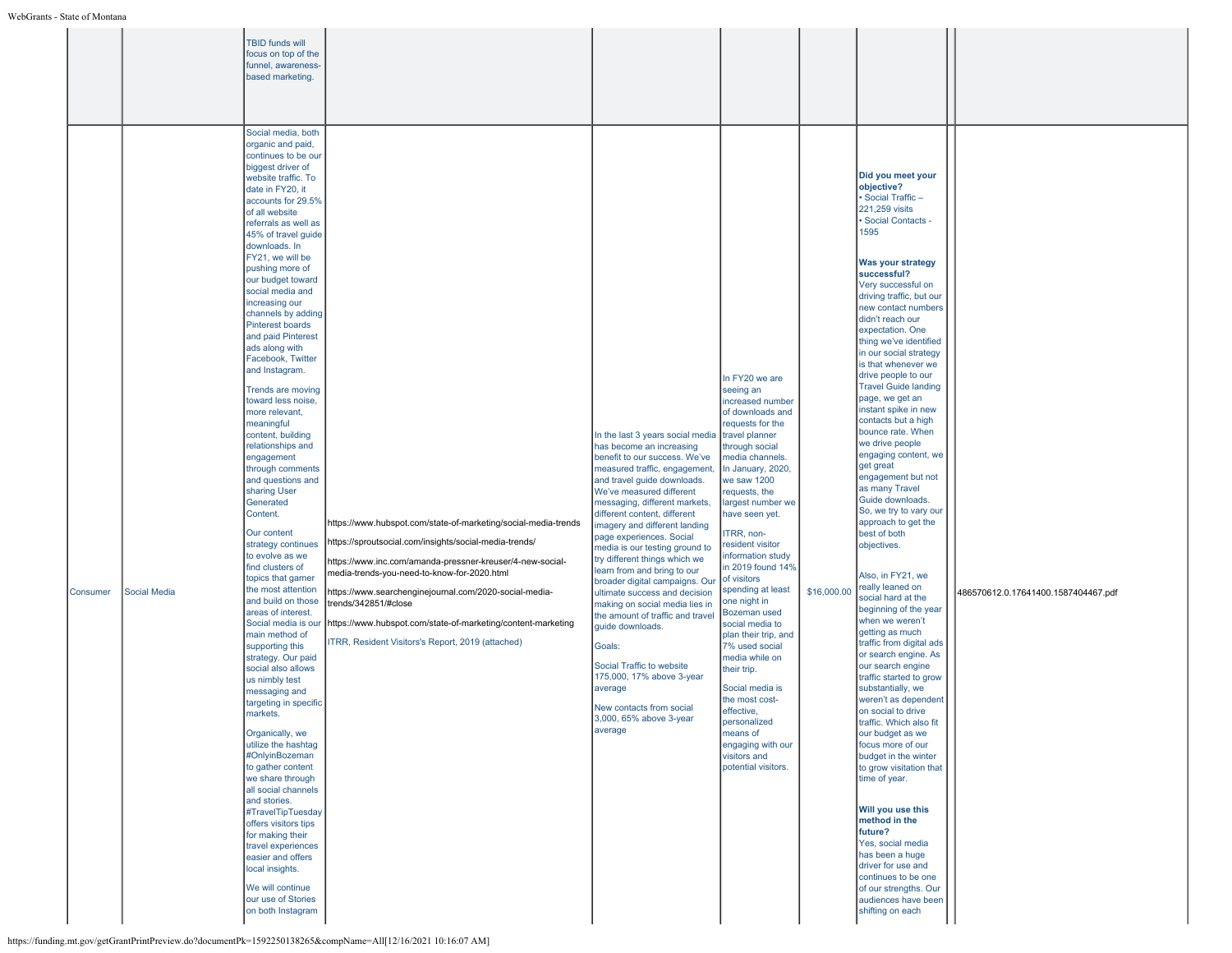|          |                     | TBID funds will<br>focus on top of the<br>funnel, awareness-<br>based marketing.<br>Social media, both                                                                                                                                                                                                                                                                                                                                                                                                                                                                                                                                                                                                                                                                                                                                                                                                                                                                                                                                                                                                                                                                                                                                                                                                                                                         |                                                                                                                                                                                                                                                                                                                                                                                                                                             |                                                                                                                                                                                                                                                                                                                                                                                                                                                                                                                                                                                                                                                                                                                                        |                                                                                                                                                                                                                                                                                                                                                                                                                                                                                                                                                                                                                                           |             |                                                                                                                                                                                                                                                                                                                                                                                                                                                                                                                                                                                                                                                                                                                                                                                                                                                                                                                                                                                                                                                                                                                                                                                                                                                                                                                                           |                                     |
|----------|---------------------|----------------------------------------------------------------------------------------------------------------------------------------------------------------------------------------------------------------------------------------------------------------------------------------------------------------------------------------------------------------------------------------------------------------------------------------------------------------------------------------------------------------------------------------------------------------------------------------------------------------------------------------------------------------------------------------------------------------------------------------------------------------------------------------------------------------------------------------------------------------------------------------------------------------------------------------------------------------------------------------------------------------------------------------------------------------------------------------------------------------------------------------------------------------------------------------------------------------------------------------------------------------------------------------------------------------------------------------------------------------|---------------------------------------------------------------------------------------------------------------------------------------------------------------------------------------------------------------------------------------------------------------------------------------------------------------------------------------------------------------------------------------------------------------------------------------------|----------------------------------------------------------------------------------------------------------------------------------------------------------------------------------------------------------------------------------------------------------------------------------------------------------------------------------------------------------------------------------------------------------------------------------------------------------------------------------------------------------------------------------------------------------------------------------------------------------------------------------------------------------------------------------------------------------------------------------------|-------------------------------------------------------------------------------------------------------------------------------------------------------------------------------------------------------------------------------------------------------------------------------------------------------------------------------------------------------------------------------------------------------------------------------------------------------------------------------------------------------------------------------------------------------------------------------------------------------------------------------------------|-------------|-------------------------------------------------------------------------------------------------------------------------------------------------------------------------------------------------------------------------------------------------------------------------------------------------------------------------------------------------------------------------------------------------------------------------------------------------------------------------------------------------------------------------------------------------------------------------------------------------------------------------------------------------------------------------------------------------------------------------------------------------------------------------------------------------------------------------------------------------------------------------------------------------------------------------------------------------------------------------------------------------------------------------------------------------------------------------------------------------------------------------------------------------------------------------------------------------------------------------------------------------------------------------------------------------------------------------------------------|-------------------------------------|
| Consumer | <b>Social Media</b> | organic and paid,<br>continues to be our<br>biggest driver of<br>website traffic. To<br>date in FY20, it<br>accounts for 29.5%<br>of all website<br>referrals as well as<br>45% of travel guide<br>downloads, In<br>FY21, we will be<br>pushing more of<br>our budget toward<br>social media and<br>increasing our<br>channels by adding<br>Pinterest boards<br>and paid Pinterest<br>ads along with<br>Facebook, Twitter<br>and Instagram.<br>Trends are moving<br>toward less noise,<br>more relevant,<br>meaningful<br>content, building<br>relationships and<br>engagement<br>through comments<br>and questions and<br>sharing User<br>Generated<br>Content.<br>Our content<br>strategy continues<br>to evolve as we<br>find clusters of<br>topics that garner<br>the most attention<br>and build on those<br>areas of interest.<br>Social media is our<br>main method of<br>supporting this<br>strategy. Our paid<br>social also allows<br>us nimbly test<br>messaging and<br>targeting in specific<br>markets.<br>Organically, we<br>utilize the hashtag<br>#OnlyinBozeman<br>to gather content<br>we share through<br>all social channels<br>and stories.<br>#TravelTipTuesday<br>offers visitors tips<br>for making their<br>travel experiences<br>easier and offers<br>local insights.<br>We will continue<br>our use of Stories<br>on both Instagram | https://www.hubspot.com/state-of-marketing/social-media-trends<br>https://sproutsocial.com/insights/social-media-trends/<br>https://www.inc.com/amanda-pressner-kreuser/4-new-social-<br>media-trends-you-need-to-know-for-2020.html<br>https://www.searchenginejournal.com/2020-social-media-<br>trends/342851/#close<br>https://www.hubspot.com/state-of-marketing/content-marketing<br>ITRR, Resident Visitors's Report, 2019 (attached) | In the last 3 years social media<br>has become an increasing<br>benefit to our success. We've<br>measured traffic, engagement<br>and travel guide downloads.<br>We've measured different<br>messaging, different markets,<br>different content, different<br>imagery and different landing<br>page experiences. Social<br>media is our testing ground to<br>try different things which we<br>learn from and bring to our<br>broader digital campaigns. Our<br>ultimate success and decision<br>making on social media lies in<br>the amount of traffic and travel<br>guide downloads.<br>Goals:<br>Social Traffic to website<br>175,000, 17% above 3-year<br>average<br>New contacts from social<br>3,000, 65% above 3-year<br>average | In FY20 we are<br>seeing an<br>increased number<br>of downloads and<br>requests for the<br>travel planner<br>through social<br>media channels.<br>In January, 2020,<br>we saw 1200<br>requests, the<br>largest number we<br>have seen yet.<br><b>TRR, non-</b><br>resident visitor<br>information study<br>in 2019 found 14%<br>of visitors<br>spending at least<br>one night in<br>Bozeman used<br>social media to<br>plan their trip, and<br>7% used social<br>media while on<br>their trip.<br>Social media is<br>the most cost-<br>effective,<br>personalized<br>means of<br>engaging with our<br>visitors and<br>potential visitors. | \$16,000.00 | Did you meet your<br>objective?<br>Social Traffic-<br>221,259 visits<br>Social Contacts -<br>1595<br>Was your strategy<br>successful?<br>Very successful on<br>driving traffic, but our<br>new contact numbers<br>didn't reach our<br>expectation. One<br>thing we've identified<br>in our social strategy<br>is that whenever we<br>drive people to our<br><b>Travel Guide landing</b><br>page, we get an<br>instant spike in new<br>contacts but a high<br>bounce rate. When<br>we drive people<br>engaging content, we<br>get great<br>engagement but not<br>as many Travel<br>Guide downloads.<br>So, we try to vary our<br>approach to get the<br>best of both<br>objectives.<br>Also, in FY21, we<br>really leaned on<br>social hard at the<br>beginning of the year<br>when we weren't<br>getting as much<br>traffic from digital ads<br>or search engine. As<br>our search engine<br>traffic started to grow<br>substantially, we<br>weren't as dependent<br>on social to drive<br>traffic. Which also fit<br>our budget as we<br>focus more of our<br>budget in the winter<br>to grow visitation that<br>time of year.<br>Will you use this<br>method in the<br>future?<br>Yes, social media<br>has been a huge<br>driver for use and<br>continues to be one<br>of our strengths. Our<br>audiences have been<br>shifting on each | 486570612.0.17641400.1587404467.pdf |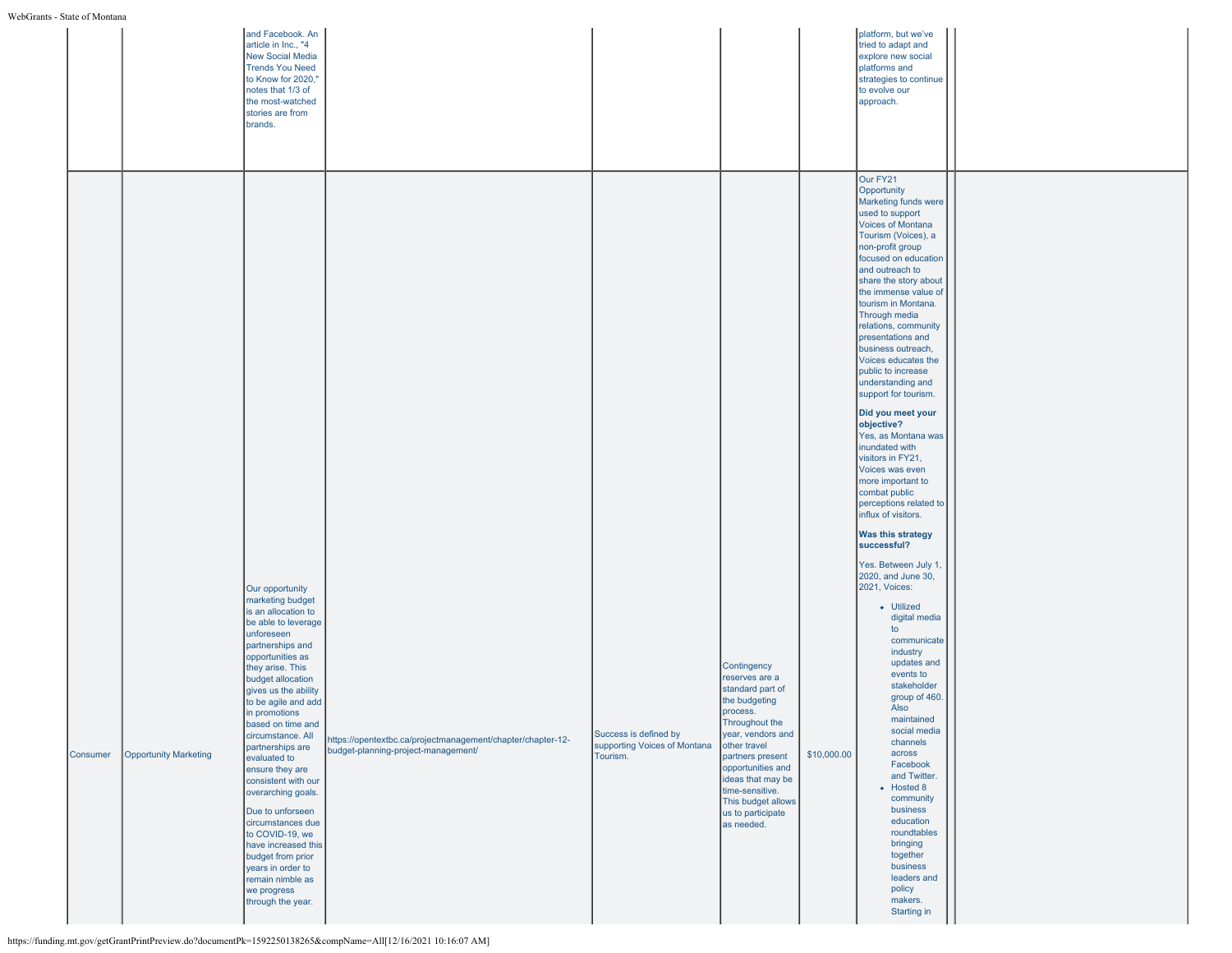|          |                              | and Facebook. An<br>article in Inc., "4<br><b>New Social Media</b><br><b>Trends You Need</b><br>to Know for 2020,"<br>notes that 1/3 of<br>the most-watched<br>stories are from<br>brands.                                                                                                                                                                                                                                                                                                                                                                                          |                                                                                                    |                                                                   |                                                                                                                                                                                                                                                                                 |             | platform, but we've<br>tried to adapt and<br>explore new social<br>platforms and<br>strategies to continue<br>to evolve our<br>approach.                                                                                                                                                                                                                                                                                                                                                                                                                                                                                                                                                                                                                                                                                                                                                                                                                                                                                                                                                                                               |  |
|----------|------------------------------|-------------------------------------------------------------------------------------------------------------------------------------------------------------------------------------------------------------------------------------------------------------------------------------------------------------------------------------------------------------------------------------------------------------------------------------------------------------------------------------------------------------------------------------------------------------------------------------|----------------------------------------------------------------------------------------------------|-------------------------------------------------------------------|---------------------------------------------------------------------------------------------------------------------------------------------------------------------------------------------------------------------------------------------------------------------------------|-------------|----------------------------------------------------------------------------------------------------------------------------------------------------------------------------------------------------------------------------------------------------------------------------------------------------------------------------------------------------------------------------------------------------------------------------------------------------------------------------------------------------------------------------------------------------------------------------------------------------------------------------------------------------------------------------------------------------------------------------------------------------------------------------------------------------------------------------------------------------------------------------------------------------------------------------------------------------------------------------------------------------------------------------------------------------------------------------------------------------------------------------------------|--|
| Consumer | <b>Opportunity Marketing</b> | Our opportunity<br>marketing budget<br>is an allocation to<br>be able to leverage<br>unforeseen<br>partnerships and<br>opportunities as<br>they arise. This<br>budget allocation<br>gives us the ability<br>to be agile and add<br>in promotions<br>based on time and<br>circumstance. All<br>partnerships are<br>evaluated to<br>ensure they are<br>consistent with our<br>overarching goals.<br>Due to unforseen<br>circumstances due<br>to COVID-19, we<br>have increased this<br>budget from prior<br>years in order to<br>remain nimble as<br>we progress<br>through the year. | https://opentextbc.ca/projectmanagement/chapter/chapter-12-<br>budget-planning-project-management/ | Success is defined by<br>supporting Voices of Montana<br>Tourism. | Contingency<br>reserves are a<br>standard part of<br>the budgeting<br>process.<br>Throughout the<br>year, vendors and<br>other travel<br>partners present<br>opportunities and<br>ideas that may be<br>time-sensitive.<br>This budget allows<br>us to participate<br>as needed. | \$10,000.00 | Our FY21<br>Opportunity<br>Marketing funds were<br>used to support<br>Voices of Montana<br>Tourism (Voices), a<br>non-profit group<br>focused on education<br>and outreach to<br>share the story about<br>the immense value of<br>tourism in Montana.<br>Through media<br>relations, community<br>presentations and<br>business outreach,<br>Voices educates the<br>public to increase<br>understanding and<br>support for tourism.<br>Did you meet your<br>objective?<br>Yes, as Montana was<br>inundated with<br>visitors in FY21,<br>Voices was even<br>more important to<br>combat public<br>perceptions related to<br>influx of visitors.<br><b>Was this strategy</b><br>successful?<br>Yes. Between July 1,<br>2020, and June 30,<br>2021, Voices:<br>• Utilized<br>digital media<br>to<br>communicate<br>industry<br>updates and<br>events to<br>stakeholder<br>group of 460.<br>Also<br>maintained<br>social media<br>channels<br>across<br>Facebook<br>and Twitter.<br>• Hosted 8<br>community<br>business<br>education<br>roundtables<br>bringing<br>together<br>business<br>leaders and<br>policy<br>makers.<br>Starting in |  |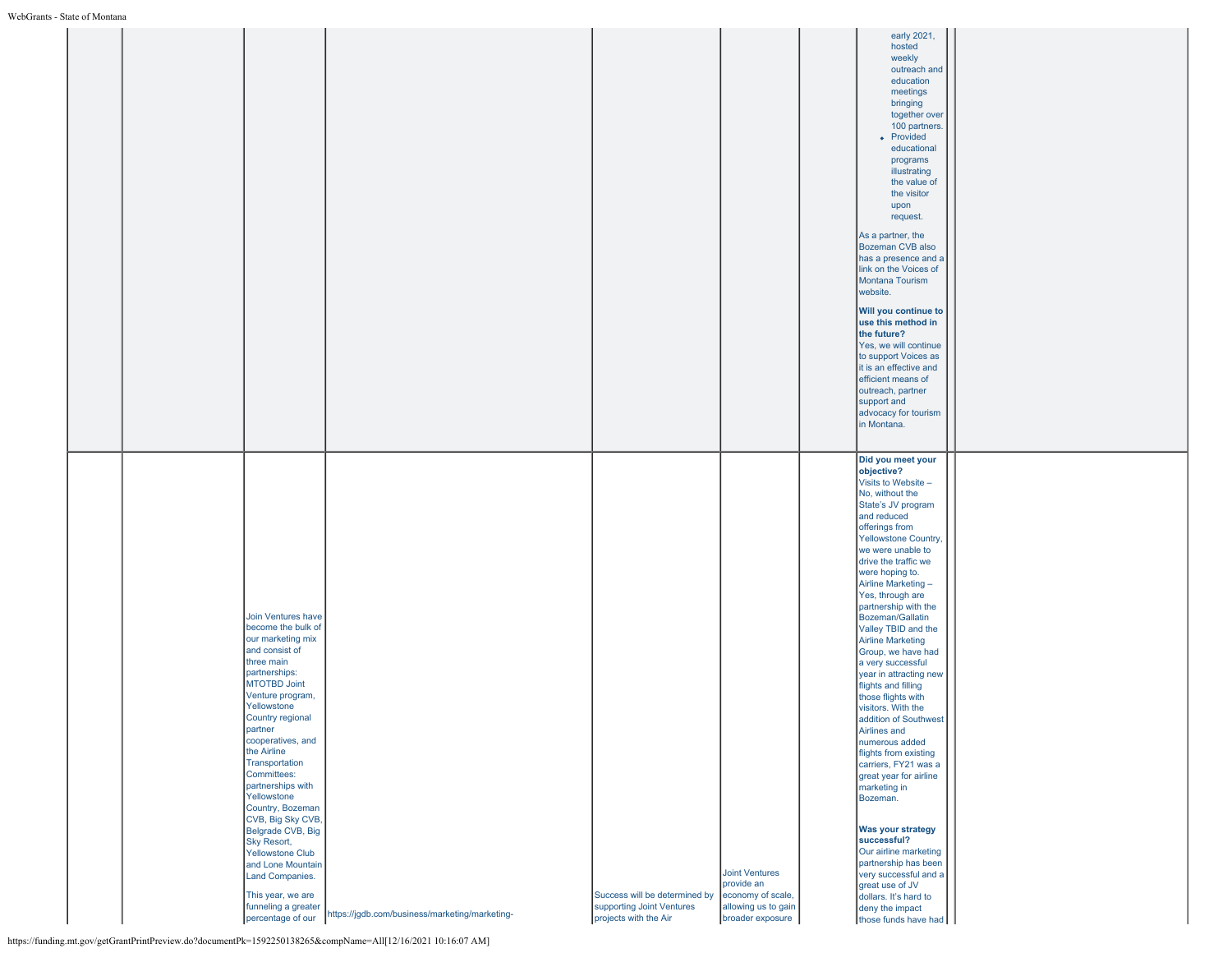|  |                                                                                                                                                                                                                                                                                                                                                                                                                                                                                                       |                                                                  |                                                                                     |                                                                                                     | early 2021,<br>hosted<br>weekly<br>outreach and<br>education<br>meetings<br>bringing<br>together over<br>100 partners.<br>• Provided<br>educational<br>programs<br>illustrating<br>the value of<br>the visitor<br>upon<br>request.<br>As a partner, the<br>Bozeman CVB also<br>has a presence and a<br>link on the Voices of<br>Montana Tourism<br>website.<br>Will you continue to<br>use this method in<br>the future?<br>Yes, we will continue<br>to support Voices as<br>it is an effective and<br>efficient means of<br>outreach, partner<br>support and<br>advocacy for tourism<br>in Montana.                                                                                                                                                                                                                                                                              |  |
|--|-------------------------------------------------------------------------------------------------------------------------------------------------------------------------------------------------------------------------------------------------------------------------------------------------------------------------------------------------------------------------------------------------------------------------------------------------------------------------------------------------------|------------------------------------------------------------------|-------------------------------------------------------------------------------------|-----------------------------------------------------------------------------------------------------|-----------------------------------------------------------------------------------------------------------------------------------------------------------------------------------------------------------------------------------------------------------------------------------------------------------------------------------------------------------------------------------------------------------------------------------------------------------------------------------------------------------------------------------------------------------------------------------------------------------------------------------------------------------------------------------------------------------------------------------------------------------------------------------------------------------------------------------------------------------------------------------|--|
|  | Join Ventures have<br>become the bulk of<br>our marketing mix<br>and consist of<br>three main<br>partnerships:<br>MTOTBD Joint<br>Venture program,<br>Yellowstone<br>Country regional<br>partner<br>cooperatives, and<br>the Airline<br>Transportation<br>Committees:<br>partnerships with<br>Yellowstone<br>Country, Bozeman<br>CVB, Big Sky CVB,<br>Belgrade CVB, Big<br>Sky Resort,<br><b>Yellowstone Club</b><br>and Lone Mountain<br>Land Companies.<br>This year, we are<br>funneling a greater | percentage of our https://jgdb.com/business/marketing/marketing- | Success will be determined by<br>supporting Joint Ventures<br>projects with the Air | <b>Joint Ventures</b><br>provide an<br>economy of scale,<br>allowing us to gain<br>broader exposure | Did you meet your<br>objective?<br>Visits to Website -<br>No, without the<br>State's JV program<br>and reduced<br>offerings from<br>Yellowstone Country,<br>we were unable to<br>drive the traffic we<br>were hoping to.<br>Airline Marketing -<br>Yes, through are<br>partnership with the<br>Bozeman/Gallatin<br>Valley TBID and the<br><b>Airline Marketing</b><br>Group, we have had<br>a very successful<br>year in attracting new<br>flights and filling<br>those flights with<br>visitors. With the<br>addition of Southwest<br>Airlines and<br>numerous added<br>flights from existing<br>carriers, FY21 was a<br>great year for airline<br>marketing in<br>Bozeman.<br>Was your strategy<br>successful?<br>Our airline marketing<br>partnership has been<br>very successful and a<br>great use of JV<br>dollars. It's hard to<br>deny the impact<br>those funds have had |  |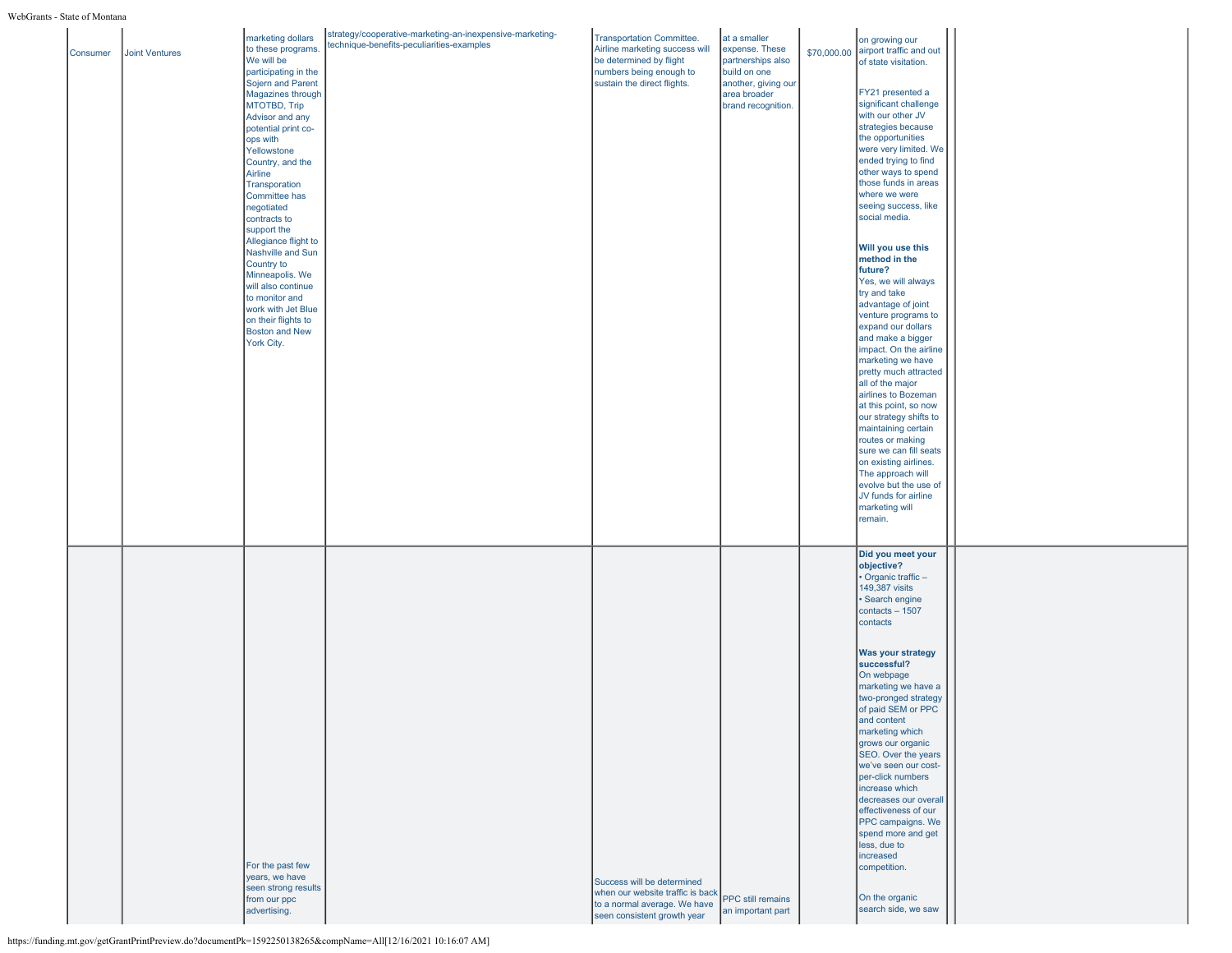| Consumer | Joint Ventures | marketing dollars<br>to these programs.<br>We will be<br>participating in the<br>Sojern and Parent<br>Magazines through<br>MTOTBD, Trip<br>Advisor and any<br>potential print co-<br>ops with<br>Yellowstone<br>Country, and the<br>Airline<br>Transporation<br>Committee has<br>negotiated<br>contracts to<br>support the<br>Allegiance flight to<br>Nashville and Sun<br>Country to<br>Minneapolis. We<br>will also continue<br>to monitor and<br>work with Jet Blue<br>on their flights to<br><b>Boston and New</b><br>York City. | strategy/cooperative-marketing-an-inexpensive-marketing-<br>technique-benefits-peculiarities-examples | <b>Transportation Committee.</b><br>Airline marketing success will<br>be determined by flight<br>numbers being enough to<br>sustain the direct flights. | at a smaller<br>expense. These<br>partnerships also<br>build on one<br>another, giving our<br>area broader<br>brand recognition. | \$70,000.00 | on growing our<br>airport traffic and out<br>of state visitation.<br>FY21 presented a<br>significant challenge<br>with our other JV<br>strategies because<br>the opportunities<br>were very limited. We<br>ended trying to find<br>other ways to spend<br>those funds in areas<br>where we were<br>seeing success, like<br>social media.<br>Will you use this<br>method in the<br>future?<br>Yes, we will always<br>try and take<br>advantage of joint<br>venture programs to<br>expand our dollars<br>and make a bigger<br>impact. On the airline<br>marketing we have<br>pretty much attracted<br>all of the major<br>airlines to Bozeman<br>at this point, so now<br>our strategy shifts to<br>maintaining certain<br>routes or making<br>sure we can fill seats<br>on existing airlines.<br>The approach will<br>evolve but the use of<br>JV funds for airline<br>marketing will<br>remain. |  |
|----------|----------------|--------------------------------------------------------------------------------------------------------------------------------------------------------------------------------------------------------------------------------------------------------------------------------------------------------------------------------------------------------------------------------------------------------------------------------------------------------------------------------------------------------------------------------------|-------------------------------------------------------------------------------------------------------|---------------------------------------------------------------------------------------------------------------------------------------------------------|----------------------------------------------------------------------------------------------------------------------------------|-------------|-------------------------------------------------------------------------------------------------------------------------------------------------------------------------------------------------------------------------------------------------------------------------------------------------------------------------------------------------------------------------------------------------------------------------------------------------------------------------------------------------------------------------------------------------------------------------------------------------------------------------------------------------------------------------------------------------------------------------------------------------------------------------------------------------------------------------------------------------------------------------------------------------|--|
|          |                | For the past few<br>years, we have<br>seen strong results<br>from our ppc<br>advertising.                                                                                                                                                                                                                                                                                                                                                                                                                                            |                                                                                                       | Success will be determined<br>when our website traffic is back<br>to a normal average. We have<br>seen consistent growth year                           | PPC still remains<br>an important part                                                                                           |             | Did you meet your<br>objective?<br>• Organic traffic-<br>149,387 visits<br>· Search engine<br>contacts - 1507<br>contacts<br><b>Was your strategy</b><br>successful?<br>On webpage<br>marketing we have a<br>two-pronged strategy<br>of paid SEM or PPC<br>and content<br>marketing which<br>grows our organic<br>SEO. Over the years<br>we've seen our cost-<br>per-click numbers<br>increase which<br>decreases our overall<br>effectiveness of our<br>PPC campaigns. We<br>spend more and get<br>less, due to<br>increased<br>competition.<br>On the organic<br>search side, we saw                                                                                                                                                                                                                                                                                                          |  |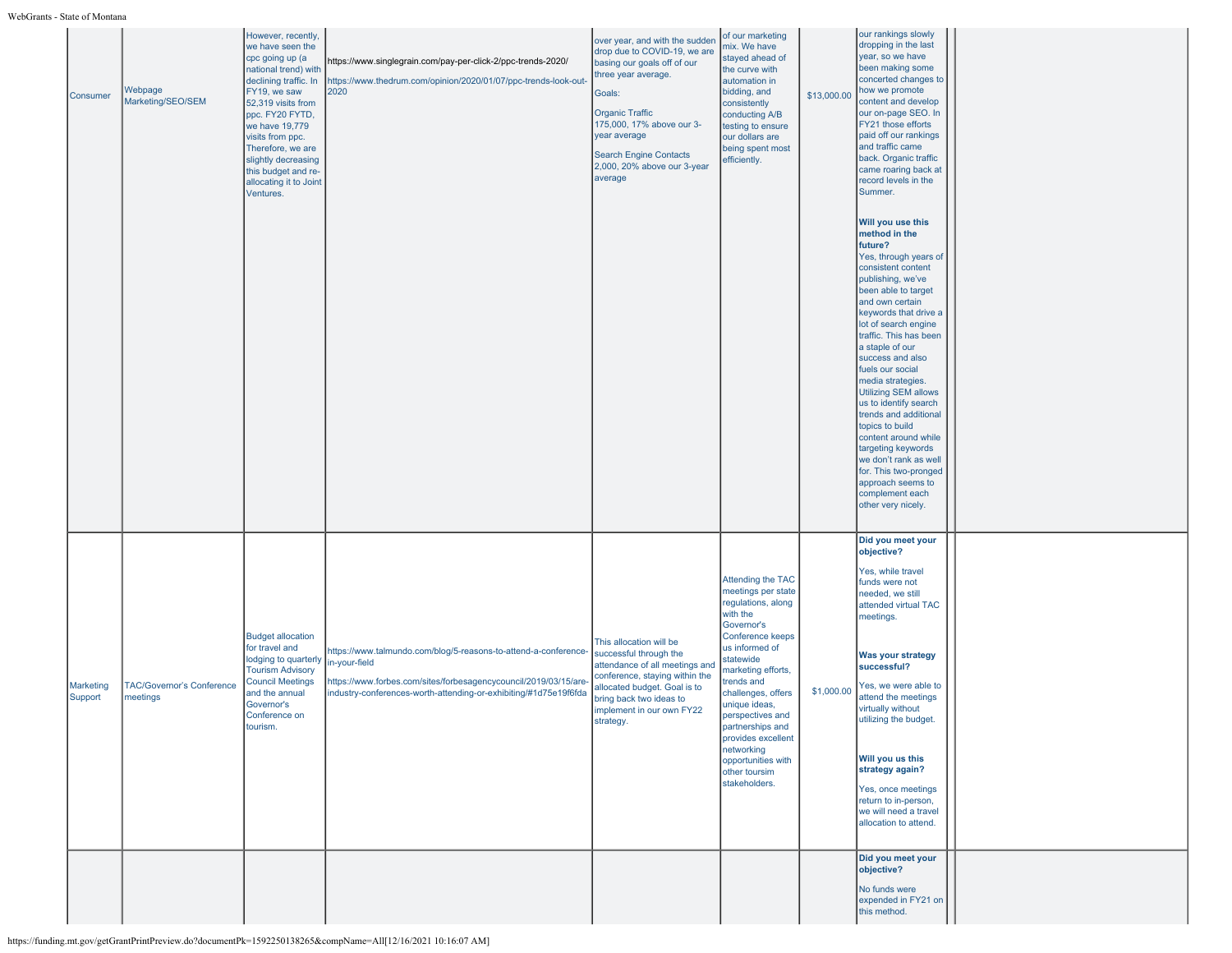| Consumer             | Webpage<br>Marketing/SEO/SEM                 | However, recently,<br>we have seen the<br>cpc going up (a<br>national trend) with<br>declining traffic. In<br>FY19, we saw<br>52,319 visits from<br>ppc. FY20 FYTD,<br>we have 19,779<br>visits from ppc.<br>Therefore, we are<br>slightly decreasing<br>this budget and re-<br>allocating it to Joint<br>Ventures. | https://www.singlegrain.com/pay-per-click-2/ppc-trends-2020/<br>https://www.thedrum.com/opinion/2020/01/07/ppc-trends-look-out-<br>2020                                                                                  | over year, and with the sudden<br>drop due to COVID-19, we are<br>basing our goals off of our<br>three year average.<br>Goals:<br><b>Organic Traffic</b><br>175,000, 17% above our 3-<br>year average<br><b>Search Engine Contacts</b><br>2,000, 20% above our 3-year<br>average | of our marketing<br>mix. We have<br>stayed ahead of<br>the curve with<br>automation in<br>bidding, and<br>consistently<br>conducting A/B<br>testing to ensure<br>our dollars are<br>being spent most<br>efficiently.                                                                                                                                      | \$13,000.00 | our rankings slowly<br>dropping in the last<br>year, so we have<br>been making some<br>concerted changes to<br>how we promote<br>content and develop<br>our on-page SEO. In<br>FY21 those efforts<br>paid off our rankings<br>and traffic came<br>back. Organic traffic<br>came roaring back at<br>record levels in the<br>Summer.<br>Will you use this<br>method in the<br>future?<br>Yes, through years of<br>consistent content<br>publishing, we've<br>been able to target<br>and own certain<br>keywords that drive a<br>lot of search engine<br>traffic. This has been<br>a staple of our<br>success and also<br>fuels our social<br>media strategies.<br><b>Utilizing SEM allows</b><br>us to identify search<br>trends and additional<br>topics to build<br>content around while<br>targeting keywords<br>we don't rank as well<br>for. This two-pronged<br>approach seems to<br>complement each<br>other very nicely. |  |
|----------------------|----------------------------------------------|---------------------------------------------------------------------------------------------------------------------------------------------------------------------------------------------------------------------------------------------------------------------------------------------------------------------|--------------------------------------------------------------------------------------------------------------------------------------------------------------------------------------------------------------------------|----------------------------------------------------------------------------------------------------------------------------------------------------------------------------------------------------------------------------------------------------------------------------------|-----------------------------------------------------------------------------------------------------------------------------------------------------------------------------------------------------------------------------------------------------------------------------------------------------------------------------------------------------------|-------------|--------------------------------------------------------------------------------------------------------------------------------------------------------------------------------------------------------------------------------------------------------------------------------------------------------------------------------------------------------------------------------------------------------------------------------------------------------------------------------------------------------------------------------------------------------------------------------------------------------------------------------------------------------------------------------------------------------------------------------------------------------------------------------------------------------------------------------------------------------------------------------------------------------------------------------|--|
| Marketing<br>Support | <b>TAC/Governor's Conference</b><br>meetings | <b>Budget allocation</b><br>for travel and<br>lodging to quarterly<br><b>Tourism Advisory</b><br><b>Council Meetings</b><br>and the annual<br>Governor's<br>Conference on<br>tourism.                                                                                                                               | https://www.talmundo.com/blog/5-reasons-to-attend-a-conference-<br>in-your-field<br>https://www.forbes.com/sites/forbesagencycouncil/2019/03/15/are-<br>industry-conferences-worth-attending-or-exhibiting/#1d75e19f6fda | This allocation will be<br>successful through the<br>attendance of all meetings and<br>conference, staying within the<br>allocated budget. Goal is to<br>bring back two ideas to<br>implement in our own FY22<br>strategy.                                                       | Attending the TAC<br>meetings per state<br>regulations, along<br>with the<br>Governor's<br>Conference keeps<br>us informed of<br>statewide<br>marketing efforts,<br>trends and<br>challenges, offers<br>unique ideas,<br>perspectives and<br>partnerships and<br>provides excellent<br>networking<br>opportunities with<br>other toursim<br>stakeholders. | \$1,000.00  | Did you meet your<br>objective?<br>Yes, while travel<br>funds were not<br>needed, we still<br>attended virtual TAC<br>meetings.<br><b>Was your strategy</b><br>successful?<br>Yes, we were able to<br>attend the meetings<br>virtually without<br>utilizing the budget.<br>Will you us this<br>strategy again?<br>Yes, once meetings<br>return to in-person,<br>we will need a travel<br>allocation to attend.                                                                                                                                                                                                                                                                                                                                                                                                                                                                                                                 |  |
|                      |                                              |                                                                                                                                                                                                                                                                                                                     |                                                                                                                                                                                                                          |                                                                                                                                                                                                                                                                                  |                                                                                                                                                                                                                                                                                                                                                           |             | Did you meet your<br>objective?<br>No funds were<br>expended in FY21 on<br>this method.                                                                                                                                                                                                                                                                                                                                                                                                                                                                                                                                                                                                                                                                                                                                                                                                                                        |  |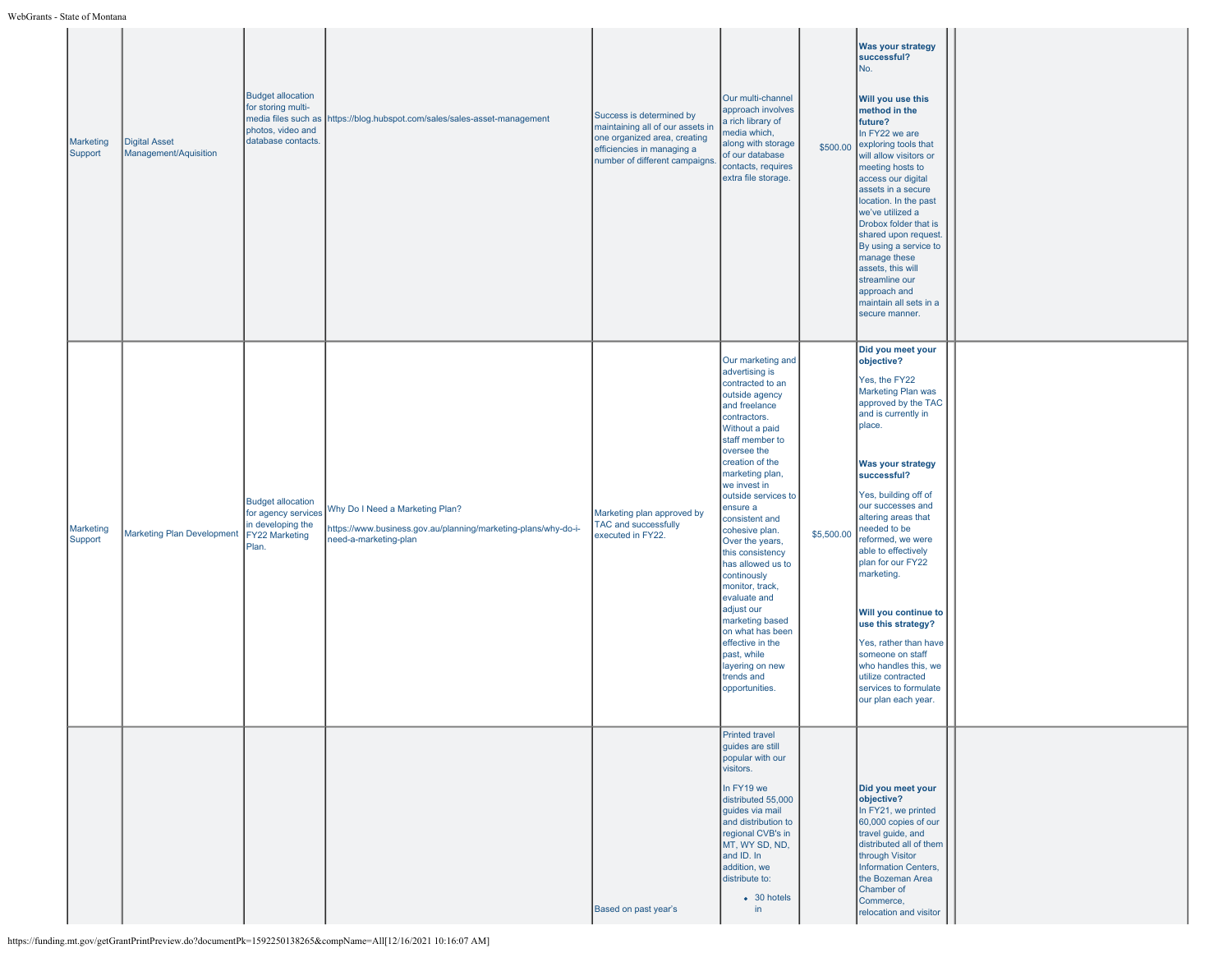| Marketing<br>Support | <b>Digital Asset</b><br>Management/Aquisition | <b>Budget allocation</b><br>for storing multi-<br>photos, video and<br>database contacts.       | media files such as https://blog.hubspot.com/sales/sales-asset-management                                                  | Success is determined by<br>maintaining all of our assets in<br>one organized area, creating<br>efficiencies in managing a<br>number of different campaigns. | Our multi-channel<br>approach involves<br>a rich library of<br>media which,<br>along with storage<br>of our database<br>contacts, requires<br>extra file storage.                                                                                                                                                                                                                                                                                                                                                                                    | \$500.00   | <b>Was your strategy</b><br>successful?<br>No.<br>Will you use this<br>method in the<br>future?<br>In FY22 we are<br>exploring tools that<br>will allow visitors or<br>meeting hosts to<br>access our digital<br>assets in a secure<br>location. In the past<br>we've utilized a<br>Drobox folder that is<br>shared upon request.<br>By using a service to<br>manage these<br>assets, this will<br>streamline our<br>approach and<br>maintain all sets in a<br>secure manner.                                                  |  |
|----------------------|-----------------------------------------------|-------------------------------------------------------------------------------------------------|----------------------------------------------------------------------------------------------------------------------------|--------------------------------------------------------------------------------------------------------------------------------------------------------------|------------------------------------------------------------------------------------------------------------------------------------------------------------------------------------------------------------------------------------------------------------------------------------------------------------------------------------------------------------------------------------------------------------------------------------------------------------------------------------------------------------------------------------------------------|------------|--------------------------------------------------------------------------------------------------------------------------------------------------------------------------------------------------------------------------------------------------------------------------------------------------------------------------------------------------------------------------------------------------------------------------------------------------------------------------------------------------------------------------------|--|
| Marketing<br>Support | <b>Marketing Plan Development</b>             | <b>Budget allocation</b><br>for agency services<br>in developing the<br>FY22 Marketing<br>Plan. | Why Do I Need a Marketing Plan?<br>https://www.business.gov.au/planning/marketing-plans/why-do-i-<br>need-a-marketing-plan | Marketing plan approved by<br><b>TAC and successfully</b><br>executed in FY22.                                                                               | Our marketing and<br>advertising is<br>contracted to an<br>outside agency<br>and freelance<br>contractors.<br>Without a paid<br>staff member to<br>oversee the<br>creation of the<br>marketing plan,<br>we invest in<br>outside services to<br>ensure a<br>consistent and<br>cohesive plan.<br>Over the years,<br>this consistency<br>has allowed us to<br>continously<br>monitor, track,<br>evaluate and<br>adjust our<br>marketing based<br>on what has been<br>effective in the<br>past, while<br>layering on new<br>trends and<br>opportunities. | \$5,500.00 | Did you meet your<br>objective?<br>Yes, the FY22<br>Marketing Plan was<br>approved by the TAC<br>and is currently in<br>place.<br>Was your strategy<br>successful?<br>Yes, building off of<br>our successes and<br>altering areas that<br>needed to be<br>reformed, we were<br>able to effectively<br>plan for our FY22<br>marketing.<br>Will you continue to<br>use this strategy?<br>Yes, rather than have<br>someone on staff<br>who handles this, we<br>utilize contracted<br>services to formulate<br>our plan each year. |  |
|                      |                                               |                                                                                                 |                                                                                                                            | Based on past year's                                                                                                                                         | Printed travel<br>guides are still<br>popular with our<br>visitors.<br>In FY19 we<br>distributed 55,000<br>guides via mail<br>and distribution to<br>regional CVB's in<br>MT, WY SD, ND,<br>and ID. In<br>addition, we<br>distribute to:<br>$\bullet$ 30 hotels<br>in                                                                                                                                                                                                                                                                                |            | Did you meet your<br>objective?<br>In FY21, we printed<br>60,000 copies of our<br>travel guide, and<br>distributed all of them<br>through Visitor<br>Information Centers,<br>the Bozeman Area<br>Chamber of<br>Commerce,<br>relocation and visitor                                                                                                                                                                                                                                                                             |  |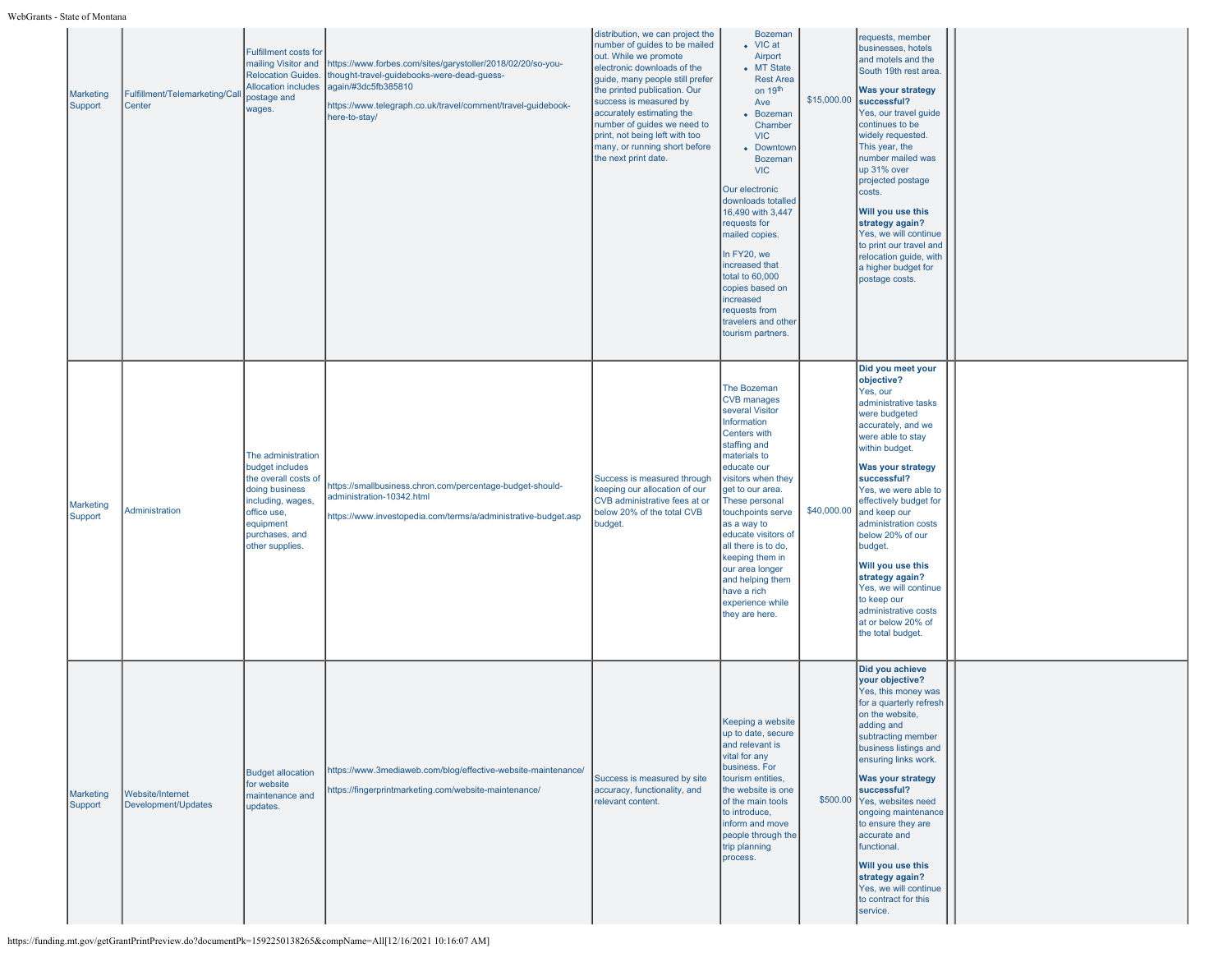| Marketing<br>Support | Fulfillment/Telemarketing/Call<br>Center | <b>Fulfillment costs for</b><br>mailing Visitor and<br><b>Relocation Guides.</b><br><b>Allocation includes</b><br>postage and<br>wages.                               | https://www.forbes.com/sites/garystoller/2018/02/20/so-you-<br>thought-travel-guidebooks-were-dead-guess-<br>again/#3dc5fb385810<br>https://www.telegraph.co.uk/travel/comment/travel-guidebook-<br>here-to-stay/ | distribution, we can project the<br>number of guides to be mailed<br>out. While we promote<br>electronic downloads of the<br>quide, many people still prefer<br>the printed publication. Our<br>success is measured by<br>accurately estimating the<br>number of guides we need to<br>print, not being left with too<br>many, or running short before<br>the next print date. | <b>Bozeman</b><br>• VIC at<br>Airport<br>• MT State<br><b>Rest Area</b><br>on 19 <sup>th</sup><br>Ave<br>• Bozeman<br>Chamber<br><b>VIC</b><br>• Downtown<br><b>Bozeman</b><br><b>VIC</b><br>Our electronic<br>downloads totalled<br>16,490 with 3,447<br>requests for<br>mailed copies.<br>In FY20, we<br>increased that<br>total to 60,000<br>copies based on<br>increased<br>requests from<br>travelers and other<br>tourism partners. | \$15,000.00 | requests, member<br>businesses, hotels<br>and motels and the<br>South 19th rest area<br><b>Was your strategy</b><br>successful?<br>Yes, our travel guide<br>continues to be<br>widely requested.<br>This year, the<br>number mailed was<br>up 31% over<br>projected postage<br>costs.<br>Will you use this<br>strategy again?<br>Yes, we will continue<br>to print our travel and<br>relocation guide, with<br>a higher budget for<br>postage costs.                     |  |
|----------------------|------------------------------------------|-----------------------------------------------------------------------------------------------------------------------------------------------------------------------|-------------------------------------------------------------------------------------------------------------------------------------------------------------------------------------------------------------------|-------------------------------------------------------------------------------------------------------------------------------------------------------------------------------------------------------------------------------------------------------------------------------------------------------------------------------------------------------------------------------|-------------------------------------------------------------------------------------------------------------------------------------------------------------------------------------------------------------------------------------------------------------------------------------------------------------------------------------------------------------------------------------------------------------------------------------------|-------------|--------------------------------------------------------------------------------------------------------------------------------------------------------------------------------------------------------------------------------------------------------------------------------------------------------------------------------------------------------------------------------------------------------------------------------------------------------------------------|--|
| Marketing<br>Support | Administration                           | The administration<br>budget includes<br>the overall costs of<br>doing business<br>including, wages,<br>office use,<br>equipment<br>purchases, and<br>other supplies. | https://smallbusiness.chron.com/percentage-budget-should-<br>administration-10342.html<br>https://www.investopedia.com/terms/a/administrative-budget.asp                                                          | Success is measured through<br>keeping our allocation of our<br>CVB administrative fees at or<br>below 20% of the total CVB<br>budget.                                                                                                                                                                                                                                        | The Bozeman<br><b>CVB</b> manages<br>several Visitor<br>Information<br>Centers with<br>staffing and<br>materials to<br>educate our<br>visitors when they<br>get to our area.<br>These personal<br>touchpoints serve<br>as a way to<br>educate visitors of<br>all there is to do,<br>keeping them in<br>our area longer<br>and helping them<br>have a rich<br>experience while<br>they are here.                                           | \$40,000.00 | Did you meet your<br>objective?<br>Yes, our<br>administrative tasks<br>were budgeted<br>accurately, and we<br>were able to stay<br>within budget.<br><b>Was your strategy</b><br>successful?<br>Yes, we were able to<br>effectively budget for<br>and keep our<br>administration costs<br>below 20% of our<br>budget.<br>Will you use this<br>strategy again?<br>Yes, we will continue<br>to keep our<br>administrative costs<br>at or below 20% of<br>the total budget. |  |
| Marketing<br>Support | Website/Internet<br>Development/Updates  | <b>Budget allocation</b><br>for website<br>maintenance and<br>updates.                                                                                                | https://www.3mediaweb.com/blog/effective-website-maintenance/<br>https://fingerprintmarketing.com/website-maintenance/                                                                                            | Success is measured by site<br>accuracy, functionality, and<br>relevant content.                                                                                                                                                                                                                                                                                              | Keeping a website<br>up to date, secure<br>and relevant is<br>vital for any<br>business. For<br>tourism entities,<br>the website is one<br>of the main tools<br>to introduce,<br>inform and move<br>people through the<br>trip planning<br>process.                                                                                                                                                                                       | \$500.00    | Did you achieve<br>your objective?<br>Yes, this money was<br>for a quarterly refresh<br>on the website,<br>adding and<br>subtracting member<br>business listings and<br>ensuring links work.<br><b>Was your strategy</b><br>successful?<br>Yes, websites need<br>ongoing maintenance<br>to ensure they are<br>accurate and<br>functional.<br>Will you use this<br>strategy again?<br>Yes, we will continue<br>to contract for this<br>service.                           |  |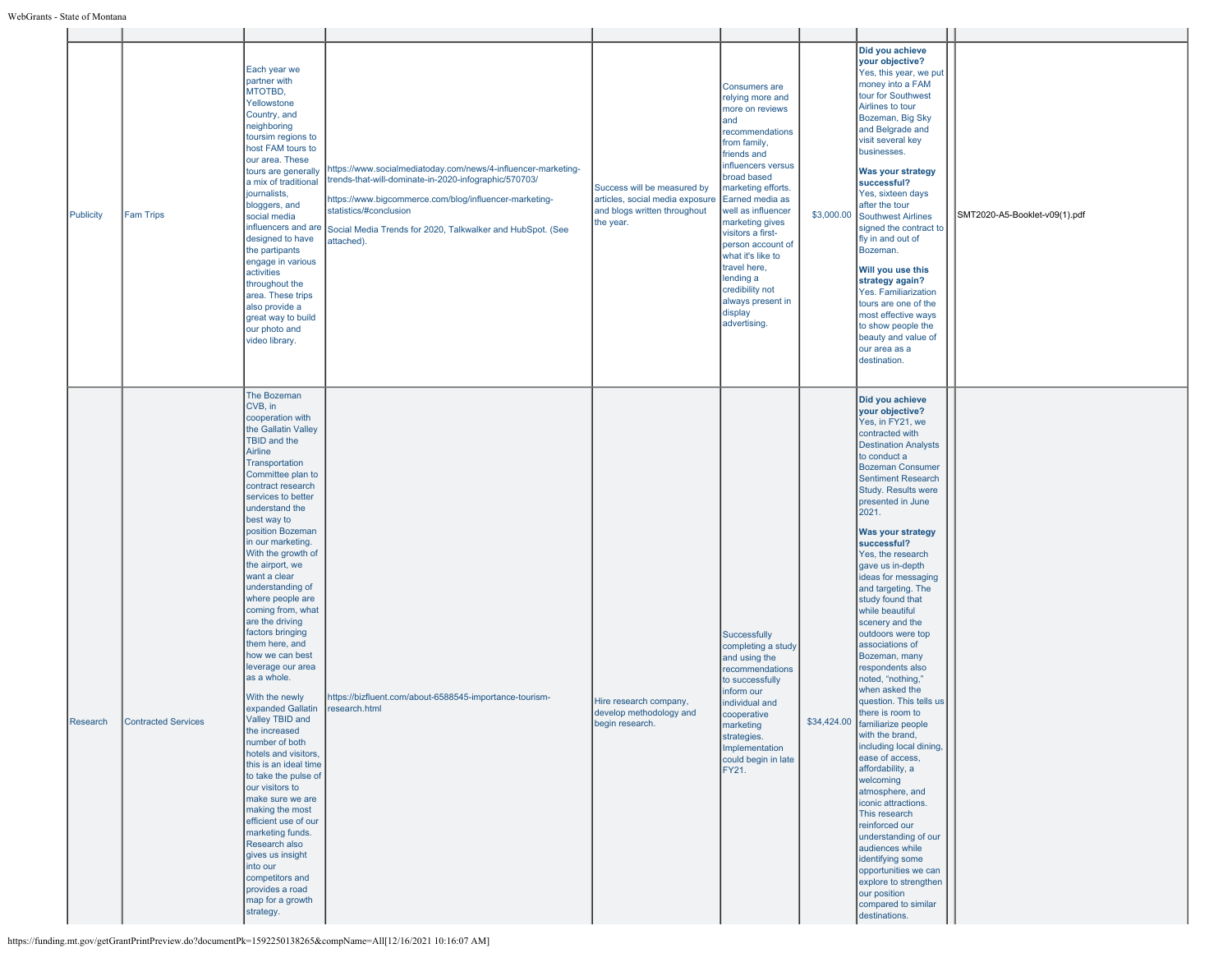| Publicity | <b>Fam Trips</b>    | Each year we<br>partner with<br>MTOTBD,<br>Yellowstone<br>Country, and<br>neighboring<br>toursim regions to<br>host FAM tours to<br>our area. These<br>tours are generally<br>a mix of traditional<br>journalists,<br>bloggers, and<br>social media<br>influencers and are<br>designed to have<br>the partipants<br>engage in various<br>activities<br>throughout the<br>area. These trips<br>also provide a<br>great way to build<br>our photo and<br>video library.                                                                                                                                                                                                                                                                                                                                                                                                                              | https://www.socialmediatoday.com/news/4-influencer-marketing-<br>trends-that-will-dominate-in-2020-infographic/570703/<br>https://www.bigcommerce.com/blog/influencer-marketing-<br>statistics/#conclusion<br>Social Media Trends for 2020, Talkwalker and HubSpot. (See<br>attached). | Success will be measured by<br>articles, social media exposure<br>and blogs written throughout<br>the year. | <b>Consumers are</b><br>relying more and<br>more on reviews<br>and<br>recommendations<br>from family,<br>friends and<br>influencers versus<br>broad based<br>marketing efforts.<br>Earned media as<br>well as influencer<br>marketing gives<br>visitors a first-<br>person account of<br>what it's like to<br>travel here,<br>lending a<br>credibility not<br>always present in<br>display<br>advertising. | \$3,000.00 | Did you achieve<br>your objective?<br>Yes, this year, we put<br>money into a FAM<br>tour for Southwest<br>Airlines to tour<br>Bozeman, Big Sky<br>and Belgrade and<br>visit several key<br>businesses.<br>Was your strategy<br>successful?<br>Yes, sixteen days<br>after the tour<br>Southwest Airlines<br>signed the contract to<br>fly in and out of<br>Bozeman.<br>Will you use this<br>strategy again?<br>Yes. Familiarization<br>tours are one of the<br>most effective ways<br>to show people the<br>beauty and value of<br>our area as a<br>destination.                                                                                                                                                                                                                                                                                                                                                                                                                              | SMT2020-A5-Booklet-v09(1).pdf |
|-----------|---------------------|----------------------------------------------------------------------------------------------------------------------------------------------------------------------------------------------------------------------------------------------------------------------------------------------------------------------------------------------------------------------------------------------------------------------------------------------------------------------------------------------------------------------------------------------------------------------------------------------------------------------------------------------------------------------------------------------------------------------------------------------------------------------------------------------------------------------------------------------------------------------------------------------------|----------------------------------------------------------------------------------------------------------------------------------------------------------------------------------------------------------------------------------------------------------------------------------------|-------------------------------------------------------------------------------------------------------------|------------------------------------------------------------------------------------------------------------------------------------------------------------------------------------------------------------------------------------------------------------------------------------------------------------------------------------------------------------------------------------------------------------|------------|----------------------------------------------------------------------------------------------------------------------------------------------------------------------------------------------------------------------------------------------------------------------------------------------------------------------------------------------------------------------------------------------------------------------------------------------------------------------------------------------------------------------------------------------------------------------------------------------------------------------------------------------------------------------------------------------------------------------------------------------------------------------------------------------------------------------------------------------------------------------------------------------------------------------------------------------------------------------------------------------|-------------------------------|
| Research  | Contracted Services | The Bozeman<br>CVB, in<br>cooperation with<br>the Gallatin Valley<br>TBID and the<br>Airline<br>Transportation<br>Committee plan to<br>contract research<br>services to better<br>understand the<br>best way to<br>position Bozeman<br>in our marketing.<br>With the growth of<br>the airport, we<br>want a clear<br>understanding of<br>where people are<br>coming from, what<br>are the driving<br>factors bringing<br>them here, and<br>how we can best<br>leverage our area<br>as a whole.<br>With the newly<br>expanded Gallatin<br>Valley TBID and<br>the increased<br>number of both<br>hotels and visitors,<br>this is an ideal time<br>to take the pulse of<br>our visitors to<br>make sure we are<br>making the most<br>efficient use of our<br>marketing funds.<br>Research also<br>gives us insight<br>into our<br>competitors and<br>provides a road<br>map for a growth<br>strategy. | https://bizfluent.com/about-6588545-importance-tourism-<br>research.html                                                                                                                                                                                                               | Hire research company,<br>develop methodology and<br>begin research.                                        | Successfully<br>completing a study<br>and using the<br>recommendations<br>to successfully<br>inform our<br>individual and<br>cooperative<br>marketing<br>strategies.<br>Implementation<br>could begin in late<br>FY21.                                                                                                                                                                                     |            | Did you achieve<br>your objective?<br>Yes, in FY21, we<br>contracted with<br><b>Destination Analysts</b><br>to conduct a<br><b>Bozeman Consumer</b><br><b>Sentiment Research</b><br>Study. Results were<br>presented in June<br>2021.<br><b>Was your strategy</b><br>successful?<br>Yes, the research<br>gave us in-depth<br>ideas for messaging<br>and targeting. The<br>study found that<br>while beautiful<br>scenery and the<br>outdoors were top<br>associations of<br>Bozeman, many<br>respondents also<br>noted, "nothing,"<br>when asked the<br>question. This tells us<br>there is room to<br>\$34,424.00 familiarize people<br>with the brand,<br>including local dining,<br>ease of access,<br>affordability, a<br>welcoming<br>atmosphere, and<br>iconic attractions.<br>This research<br>reinforced our<br>understanding of our<br>audiences while<br>identifying some<br>opportunities we can<br>explore to strengthen<br>our position<br>compared to similar<br>destinations. |                               |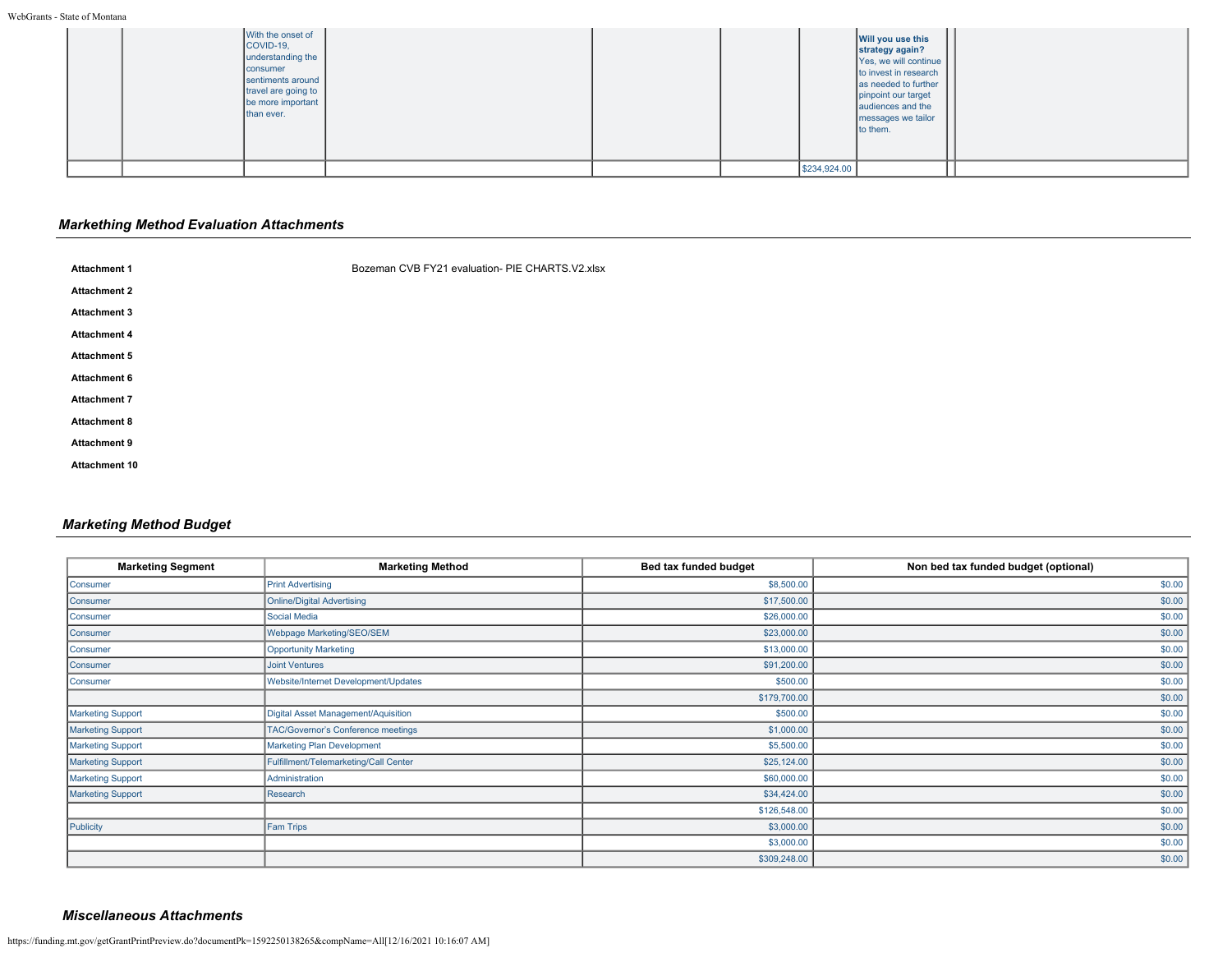|  | With the onset of<br>COVID-19,<br>understanding the<br>consumer<br>sentiments around<br>travel are going to<br>be more important<br>than ever. |  |              | Will you use this<br>strategy again?<br>Yes, we will continue<br>to invest in research<br>as needed to further<br>pinpoint our target<br>audiences and the<br>messages we tailor<br>to them. |  |
|--|------------------------------------------------------------------------------------------------------------------------------------------------|--|--------------|----------------------------------------------------------------------------------------------------------------------------------------------------------------------------------------------|--|
|  |                                                                                                                                                |  | \$234,924.00 |                                                                                                                                                                                              |  |

# *Markething Method Evaluation Attachments*

| <b>Attachment 1</b>  | Bozeman CVB FY21 evaluation- PIE CHARTS.V2.xlsx |  |  |
|----------------------|-------------------------------------------------|--|--|
| <b>Attachment 2</b>  |                                                 |  |  |
| <b>Attachment 3</b>  |                                                 |  |  |
| <b>Attachment 4</b>  |                                                 |  |  |
| <b>Attachment 5</b>  |                                                 |  |  |
| <b>Attachment 6</b>  |                                                 |  |  |
| <b>Attachment 7</b>  |                                                 |  |  |
| <b>Attachment 8</b>  |                                                 |  |  |
| <b>Attachment 9</b>  |                                                 |  |  |
| <b>Attachment 10</b> |                                                 |  |  |
|                      |                                                 |  |  |

# *Marketing Method Budget*

| <b>Marketing Segment</b> | <b>Marketing Method</b>               | Bed tax funded budget | Non bed tax funded budget (optional) |
|--------------------------|---------------------------------------|-----------------------|--------------------------------------|
| Consumer                 | <b>Print Advertising</b>              | \$8,500.00            | \$0.00                               |
| Consumer                 | <b>Online/Digital Advertising</b>     | \$17,500.00           | \$0.00                               |
| Consumer                 | Social Media                          | \$26,000.00           | \$0.00                               |
| Consumer                 | Webpage Marketing/SEO/SEM             | \$23,000.00           | \$0.00                               |
| Consumer                 | <b>Opportunity Marketing</b>          | \$13,000.00           | \$0.00                               |
| Consumer                 | <b>Joint Ventures</b>                 | \$91,200.00           | \$0.00                               |
| Consumer                 | Website/Internet Development/Updates  | \$500.00              | \$0.00                               |
|                          |                                       | \$179,700.00          | \$0.00                               |
| <b>Marketing Support</b> | Digital Asset Management/Aquisition   | \$500.00              | \$0.00                               |
| <b>Marketing Support</b> | TAC/Governor's Conference meetings    | \$1,000.00            | \$0.00                               |
| <b>Marketing Support</b> | <b>Marketing Plan Development</b>     | \$5,500.00            | \$0.00                               |
| <b>Marketing Support</b> | Fulfillment/Telemarketing/Call Center | \$25,124.00           | \$0.00                               |
| Marketing Support        | Administration                        | \$60,000.00           | \$0.00                               |
| <b>Marketing Support</b> | Research                              | \$34,424.00           | \$0.00                               |
|                          |                                       | \$126,548.00          | \$0.00                               |
| Publicity                | <b>Fam Trips</b>                      | \$3,000.00            | \$0.00                               |
|                          |                                       | \$3,000.00            | \$0.00                               |
|                          |                                       | \$309,248.00          | \$0.00                               |

# *Miscellaneous Attachments*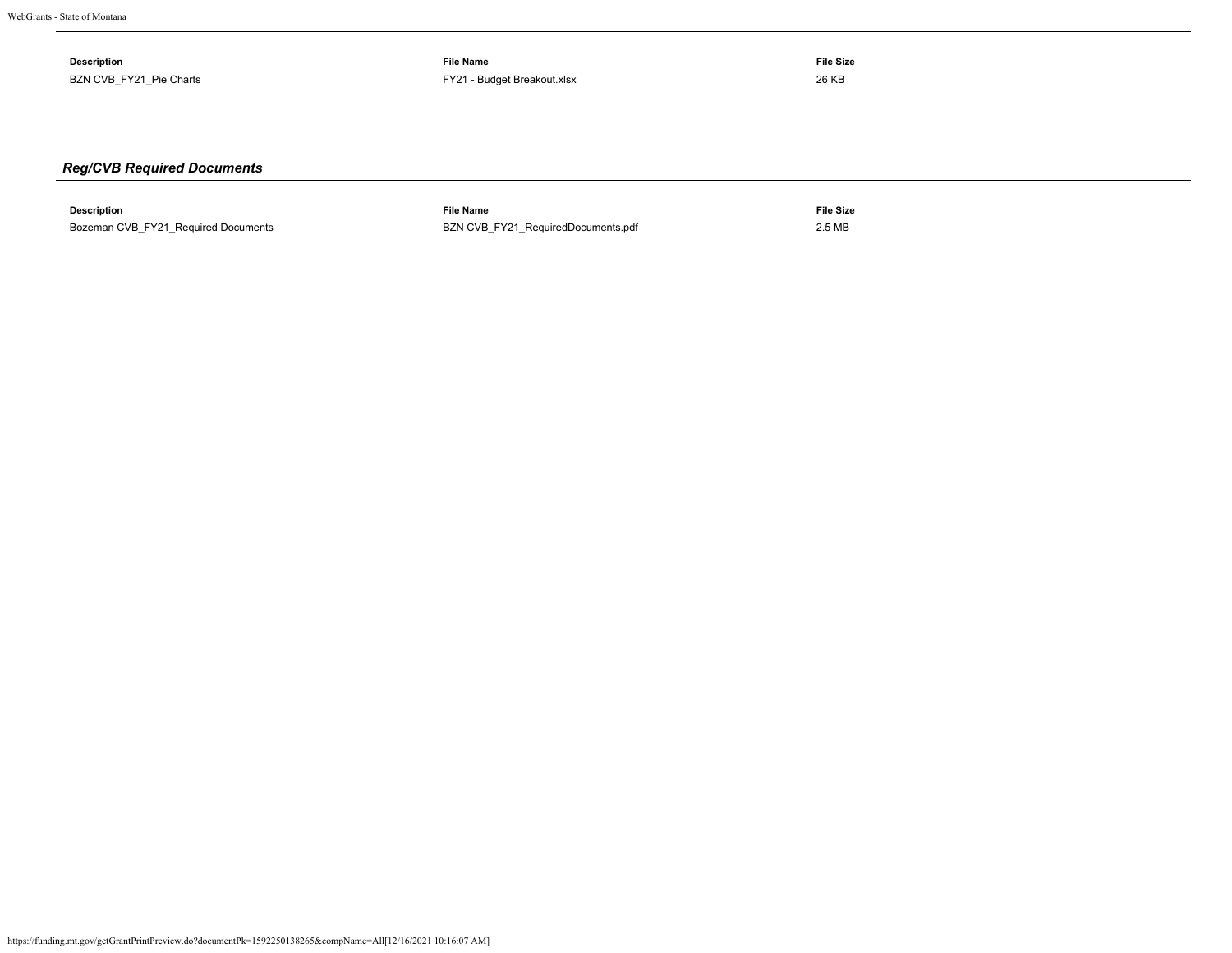| <b>Description</b>            | File Name                   | File Size<br>$\sim$ $\sim$ $\sim$ |
|-------------------------------|-----------------------------|-----------------------------------|
| BZN CVB FY21 Pie Charts<br>__ | FY21 - Budget Breakout.xlsx | 26 KB                             |

# *Reg/CVB Required Documents*

| Description                         | ™ile Name                                                      | File Size |
|-------------------------------------|----------------------------------------------------------------|-----------|
| Bozeman CVB FY21 Required Documents | BZN CVB FY21 RequiredDocuments.pdf<br>$\overline{\phantom{a}}$ | 2.5 MB    |